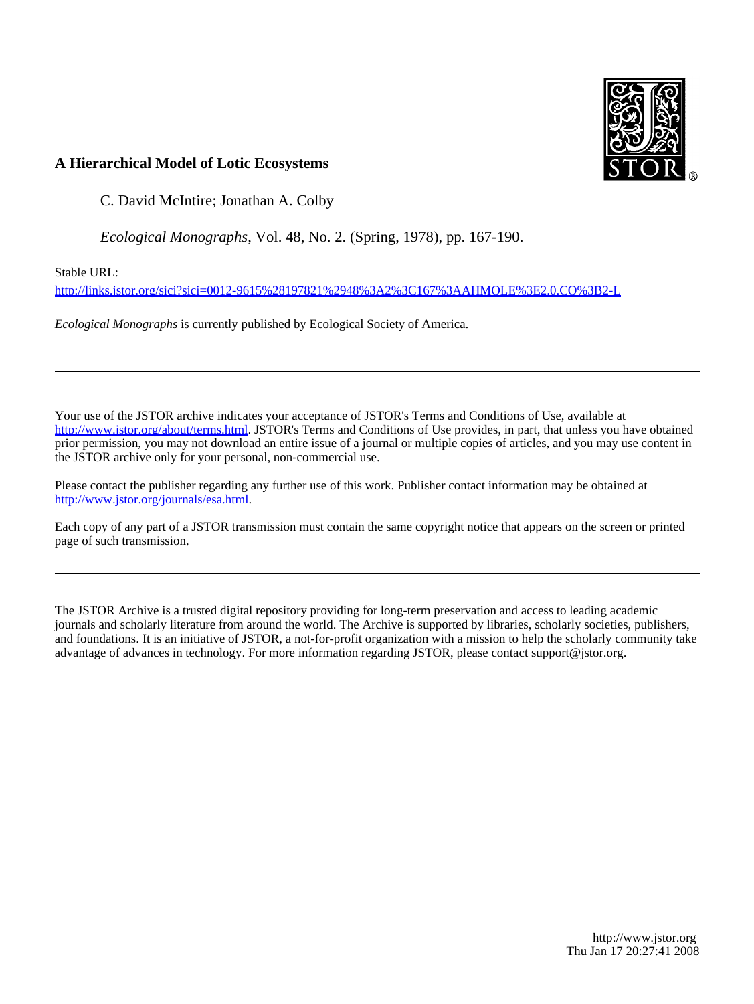

# **A Hierarchical Model of Lotic Ecosystems**

C. David McIntire; Jonathan A. Colby

*Ecological Monographs*, Vol. 48, No. 2. (Spring, 1978), pp. 167-190.

Stable URL:

<http://links.jstor.org/sici?sici=0012-9615%28197821%2948%3A2%3C167%3AAHMOLE%3E2.0.CO%3B2-L>

*Ecological Monographs* is currently published by Ecological Society of America.

Your use of the JSTOR archive indicates your acceptance of JSTOR's Terms and Conditions of Use, available at [http://www.jstor.org/about/terms.html.](http://www.jstor.org/about/terms.html) JSTOR's Terms and Conditions of Use provides, in part, that unless you have obtained prior permission, you may not download an entire issue of a journal or multiple copies of articles, and you may use content in the JSTOR archive only for your personal, non-commercial use.

Please contact the publisher regarding any further use of this work. Publisher contact information may be obtained at <http://www.jstor.org/journals/esa.html>.

Each copy of any part of a JSTOR transmission must contain the same copyright notice that appears on the screen or printed page of such transmission.

The JSTOR Archive is a trusted digital repository providing for long-term preservation and access to leading academic journals and scholarly literature from around the world. The Archive is supported by libraries, scholarly societies, publishers, and foundations. It is an initiative of JSTOR, a not-for-profit organization with a mission to help the scholarly community take advantage of advances in technology. For more information regarding JSTOR, please contact support@jstor.org.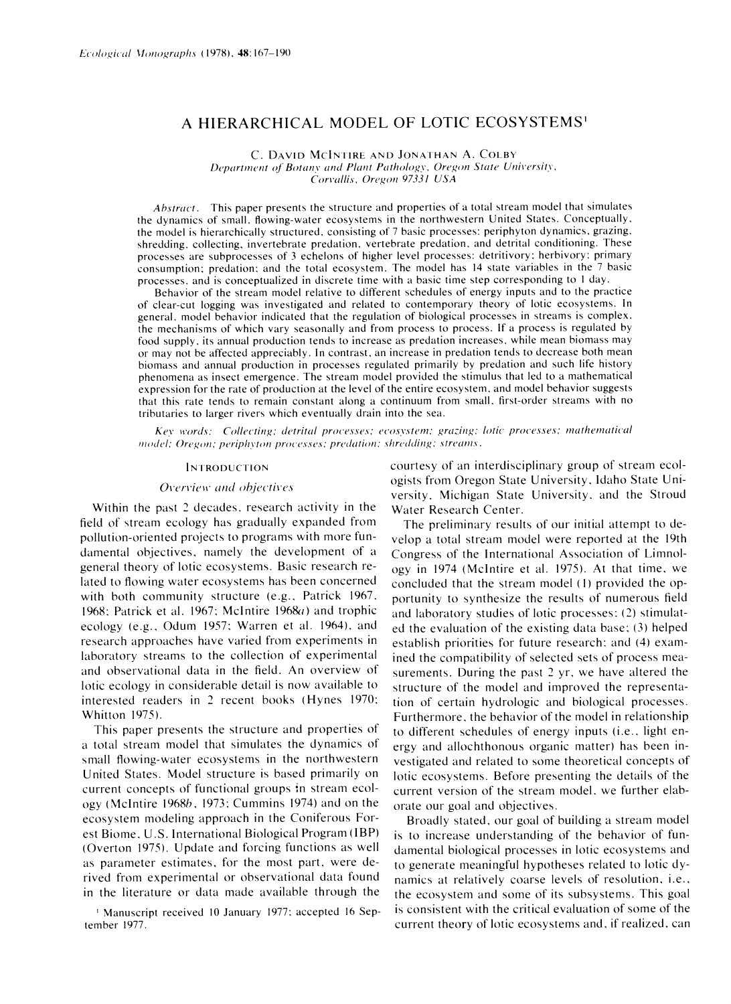# A HIERARCHICAL MODEL OF LOTIC ECOSYSTEMS<sup>1</sup>

C. DAVID MCINTIRE AND JONATHAN A. COLBY Department of Botany and Plant Pathology, Oregon State University, Corvallis, Oregon 97331 USA

Abstract. This paper presents the structure and properties of a total stream model that simulates the dynamics of small, flowing-water ecosystems in the northwestern United States. Conceptually, the model is hierarchically structured, consisting of 7 basic processes: periphyton dynamics, grazing, shredding, collecting, invertebrate predation, vertebrate predation, and detrital conditioning. These processes are subprocesses of 3 echelons of higher level processes: detritivory; herbivory; primary consumption: predation: and the total ecosystem. The model has 14 state variables in the 7 basic processes, and is conceptualized in discrete time with a basic time step corresponding to 1 day.

Behavior of the stream model relative to different schedules of energy inputs and to the practice of clear-cut logging was investigated and related to contemporary theory of lotic ecosystems. In general, model behavior indicated that the regulation of biological processes in streams is complex, the mechanisms of which vary seasonally and from process to process. If a process is regulated by food supply, its annual production tends to increase as predation increases, while mean biomass may or may not be affected appreciably. In contrast, an increase in predation tends to decrease both mean biomass and annual production in processes regulated primarily by predation and such life history phenomena as insect emergence. The stream model provided the stimulus that led to a mathematical expression for the rate of production at the level of the entire ecosystem, and model behavior suggests that this rate tends to remain constant along a continuum from small, first-order streams with no tributaries to larger rivers which eventually drain into the sea.

Key words: Collecting; detrital processes; ecosystem; grazing; lotic processes; mathematical model; Oregon; periphyton processes; predation; shredding; streams.

#### **INTRODUCTION**

#### Overview and objectives

Within the past 2 decades, research activity in the field of stream ecology has gradually expanded from pollution-oriented projects to programs with more fundamental objectives, namely the development of a general theory of lotic ecosystems. Basic research related to flowing water ecosystems has been concerned with both community structure (e.g., Patrick 1967, 1968; Patrick et al. 1967; McIntire 1968a) and trophic ecology (e.g., Odum 1957; Warren et al. 1964), and research approaches have varied from experiments in laboratory streams to the collection of experimental and observational data in the field. An overview of lotic ecology in considerable detail is now available to interested readers in 2 recent books (Hynes 1970; Whitton 1975).

This paper presents the structure and properties of a total stream model that simulates the dynamics of small flowing-water ecosystems in the northwestern United States. Model structure is based primarily on current concepts of functional groups in stream ecology (McIntire 1968b, 1973; Cummins 1974) and on the ecosystem modeling approach in the Coniferous Forest Biome, U.S. International Biological Program (IBP) (Overton 1975). Update and forcing functions as well as parameter estimates, for the most part, were derived from experimental or observational data found in the literature or data made available through the

<sup>1</sup> Manuscript received 10 January 1977; accepted 16 September 1977.

courtesy of an interdisciplinary group of stream ecologists from Oregon State University, Idaho State University, Michigan State University, and the Stroud Water Research Center.

The preliminary results of our initial attempt to develop a total stream model were reported at the 19th Congress of the International Association of Limnology in 1974 (McIntire et al. 1975). At that time, we concluded that the stream model (1) provided the opportunity to synthesize the results of numerous field and laboratory studies of lotic processes: (2) stimulated the evaluation of the existing data base; (3) helped establish priorities for future research; and (4) examined the compatibility of selected sets of process measurements. During the past 2 yr, we have altered the structure of the model and improved the representation of certain hydrologic and biological processes. Furthermore, the behavior of the model in relationship to different schedules of energy inputs (i.e., light energy and allochthonous organic matter) has been investigated and related to some theoretical concepts of lotic ecosystems. Before presenting the details of the current version of the stream model, we further elaborate our goal and objectives.

Broadly stated, our goal of building a stream model is to increase understanding of the behavior of fundamental biological processes in lotic ecosystems and to generate meaningful hypotheses related to lotic dynamics at relatively coarse levels of resolution, *i.e.*, the ecosystem and some of its subsystems. This goal is consistent with the critical evaluation of some of the current theory of lotic ecosystems and, if realized, can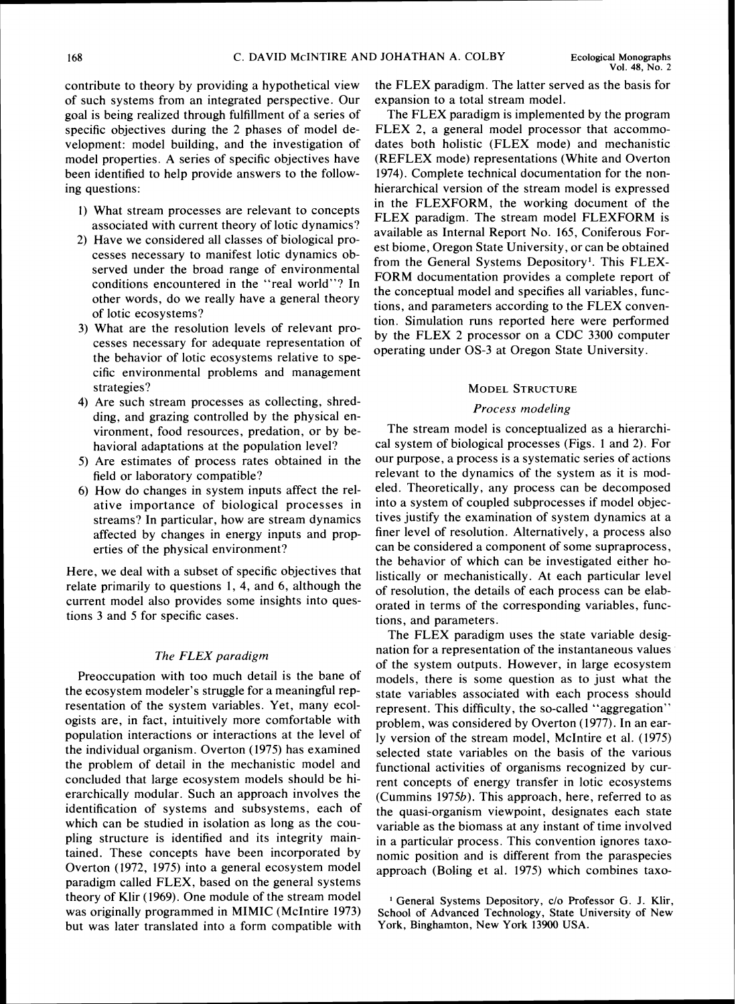*contribute to theory by providing a hypothetical view of such systems from an integrated perspective. Our goal is being realized through fulfillment of a series of specific objectives during the 2 phases of model development: model building, and the investigation of model properties. A series of specific objectives have been identified to help provide answers to the following questions:* 

- *1) What stream processes are relevant to concepts associated with current theory of lotic dynamics?*
- *2) Have we considered all classes of biological processes necessary to manifest lotic dynamics observed under the broad range of environmental conditions encountered in the "real world"? In other words, do we really have a general theory of lotic ecosystems?*
- **3)** *What are the resolution levels of relevant processes necessary for adequate representation of the behavior of lotic ecosystems relative to specific environmental problems and management strategies?*
- *4) Are such stream processes as collecting, shredding, and grazing controlled by the physical environment, food resources, predation, or by behavioral adaptations at the population level?*
- *5) Are estimates of process rates obtained in the field or laboratory compatible?*
- *6) How do changes in system inputs affect the relative importance of biological processes in streams? In particular, how are stream dynamics affected by changes in energy inputs and properties of the physical environment?*

*Here, we deal with a subset of specific objectives that relate primarily to questions 1, 4, and 6, although the current model also provides some insights into questions 3 and 5 for specific cases.* 

# *The FLEX paradigm*

*Preoccupation with too much detail is the bane of the ecosystem modeler's struggle for a meaningful representation of the system variables. Yet, many ecologists are, in fact, intuitively more comfortable with population interactions or interactions at the level of the individual organism. Overton (1975) has examined the problem of detail in the mechanistic model and concluded that large ecosystem models should be hierarchically modular. Such an approach involves the identification of systems and subsystems, each of which can be studied in isolation as long as the coupling structure is identified and its integrity maintained. These concepts have been incorporated by Overton (1972, 1975) into a general ecosystem model paradigm called FLEX, based on the general systems theory of Klir (1969). One module of the stream model was originally programmed in MIMIC (McIntire 1973) but was later translated into a form compatible with* 

*the FLEX paradigm. The latter served as the basis for expansion to a total stream model.* 

*The FLEX paradigm is implemented by the program FLEX 2, a general model processor that accommodates both holistic (FLEX mode) and mechanistic (REFLEX mode) representations (White and Overton 1974). Complete technical documentation for the nonhierarchical version of the stream model is expressed in the FLEXFORM, the working document of the FLEX paradigm. The stream model FLEXFORM is available as Internal Report No. 165, Coniferous Forest biome, Oregon State University, or can be obtained from the General Systems Depository'. This FLEX-FORM documentation provides a complete report of the conceptual model and specifies all variables, functions, and parameters according to the FLEX convention. Simulation runs reported here were performed by the FLEX 2 processor on a CDC* 3300 *computer operating under 0s-3 at Oregon State University.* 

## **MODEL STRUCTURE**

# *Process modeling*

*The stream model is conceptualized as a hierarchical system of biological processes (Figs.* 1 *and 2). For our purpose, a process is a systematic series of actions relevant to the dynamics of the system as it is modeled. Theoretically, any process can be decomposed into a system of coupled subprocesses if model objectives justify the examination of system dynamics at a finer level of resolution. Alternatively, a process also can be considered a component of some supraprocess, the behavior of which can be investigated either holistically or mechanistically. At each particular level of resolution, the details of each process can be elaborated in terms of the corresponding variables, functions, and parameters.* 

*The FLEX paradigm uses the state variable designation for a representation of the instantaneous values of the system outputs. However, in large ecosystem*  models, there is some question as to just what the *state variables associated with each process should represent. This difficulty, the so-called "aggregation" problem, was considered by Overton (1977). In an early version of the stream model, McIntire et al. (1975) selected state variables on the basis of the various functional activities of organisms recognized by current concepts of energy transfer in lotic ecosystems (Cummins 1975b). This approach, here, referred to as the quasi-organism viewpoint, designates each state variable as the biomass at any instant of time involved in a particular process. This convention ignores taxonomic position and is different from the paraspecies approach (Boling et al. 1975) which combines taxo-*

<sup>&</sup>lt;sup>1</sup> General Systems Depository, c/o Professor G. J. Klir, School of Advanced Technology, State University of New York, Bingharnton, New York 13900 USA.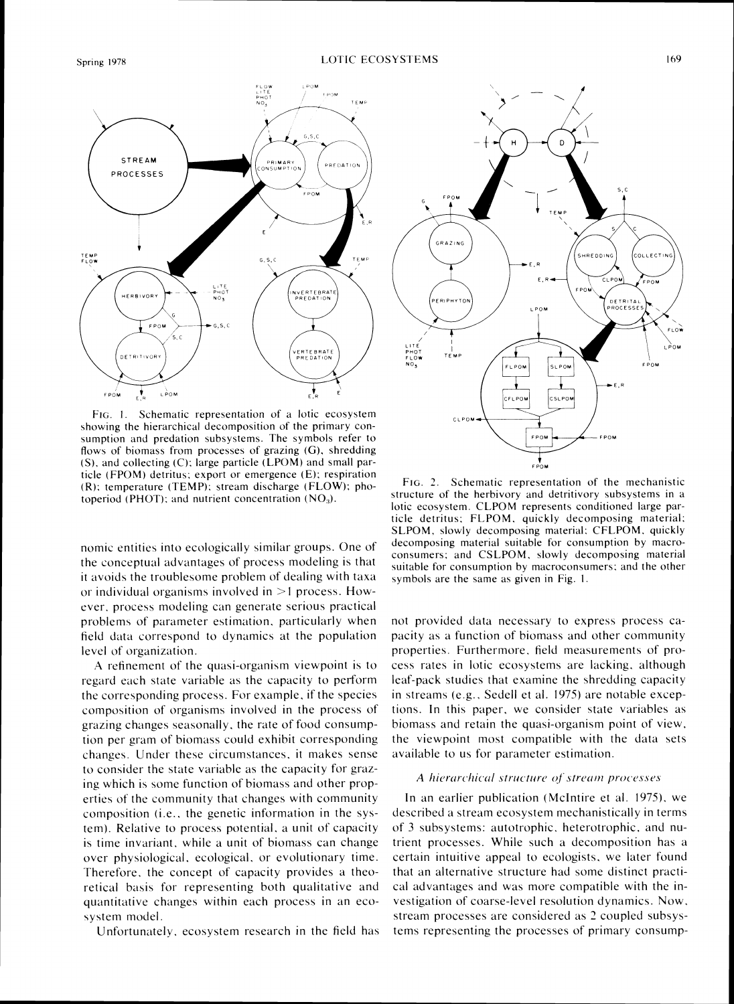

FIG. 1. Schematic representation of a lotic ecosystem showing the hierarchical decomposition of the primary consumption and predation subsystems. The symbols refer to flows of biomass from processes of grazing (G), shredding (S). and collecting (C): large particle (LPOM) and small particle (FPOM) detritus; export or emergence  $(E)$ ; respiration  $(R)$ : temperature (TEMP); stream discharge (FLOW); photoperiod (PHOT); and nutrient concentration  $(NO<sub>3</sub>)$ .

nomic entities into ecologically similar groups. One of the conceptual adbantages of process modeling is that it avoids the troublesome problem of dealing with taxa or individual organisms involved in  $>1$  process. However. process modeling can generate serious practical problems of parameter estimation. particularly when field data correspond to dynamics at the population level of organization.

.A refinement of the quasi-organism viewpoint is to regard each state variable as the capacity to perform the corresponding process. For example. if the species composition of organisms involved in the process of grazing changes seasonally. the rate of food consumption per gram of biomass could exhibit corresponding changes. Under these circumstances. it makes sense to consider the state variable as the capacity for grazing which is some function of biomass and other properties of the community that changes with community composition (i.e.. the genetic intormation in the system). Relative to process potential. a unit of capacity is time invariant. while a unit of biomass can change over physiological, ecological, or evolutionary time. Therefore, the concept of capacity provides a theoretical basis for representing both qualitative and quantitative changes within each process in an ecosystem model.

Unfortunately, ecosystem research in the field has



FIG. 2. Schematic representation of the mechanistic structure of the herbivory and detritivory subsystems in a lotic ecosystem. CLPOM represents conditioned large particle detritus; FLPOM, quickly decomposing material; SLPOM, slowly decomposing material: CFLPOM, quickly decomposing material suitable for consumption by macroconsumers; and CSLPOM, slowly decomposing material suitable for consumption by macroconsumers; and the other symbols are the same as given in Fig. 1.

not provided data necessary to express process capacity as a function of biomass and other community properties. Furthermore. field measurements of process rates in lotic ecosystems are lacking. although leaf-pack studies that examine the shredding capacity in streams (e.g.. Sedell et al. 1975) are notable exceptions. In this paper. we consider state variables as biomass and retain the quasi-organism point of view. the viewpoint most compatible with the data sets available to us for parameter estimation.

#### A hierarchical structure of stream processes

In an earlier publication (McIntire et al. 1975), we described a stream ecosystem mechanistically in terms of 3 subsystems: autotrophic. heterotrophic. and nutrient processes. While such a decomposition has a certain intuitive appeal to ecologists. we later found that an alternative structure had some distinct practical adbantages and was more compatible with the investigation of coarse-level resolution dynamics. Now. stream processes are considered as 2 coupled subsystems representing the processes of primary consump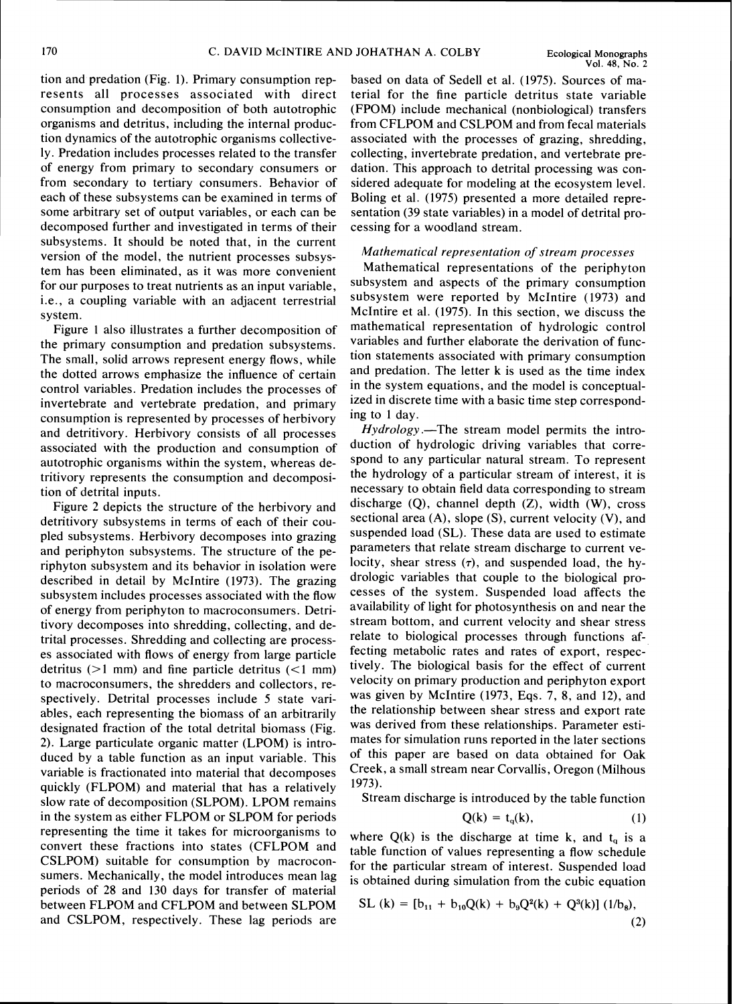tion and predation (Fig. 1). Primary consumption represents all processes associated with direct consumption and decomposition of both autotrophic organisms and detritus, including the internal production dynamics of the autotrophic organisms collectively. Predation includes processes related to the transfer of energy from primary to secondary consumers or from secondary to tertiary consumers. Behavior of each of these subsystems can be examined in terms of some arbitrary set of output variables, or each can be decomposed further and investigated in terms of their subsystems. It should be noted that, in the current version of the model, the nutrient processes subsystem has been eliminated, as it was more convenient for our purposes to treat nutrients as an input variable, i.e., a coupling variable with an adjacent terrestrial system.

Figure 1 also illustrates a further decomposition of the primary consumption and predation subsystems. The small, solid arrows represent energy flows, while the dotted arrows emphasize the influence of certain control variables. Predation includes the processes of invertebrate and vertebrate predation, and primary consumption is represented by processes of herbivory and detritivory. Herbivory consists of all processes associated with the production and consumption of autotrophic organisms within the system, whereas detritivory represents the consumption and decomposition of detrital inputs.

Figure 2 depicts the structure of the herbivory and detritivory subsystems in terms of each of their coupled subsystems. Herbivory decomposes into grazing and periphyton subsystems. The structure of the periphyton subsystem and its behavior in isolation were described in detail by McIntire (1973). The grazing subsystem includes processes associated with the flow of energy from periphyton to macroconsumers. Detritivory decomposes into shredding, collecting, and detrital processes. Shredding and collecting are processes associated with flows of energy from large particle detritus  $(>1$  mm) and fine particle detritus  $(<1$  mm) to macroconsumers, the shredders and collectors, respectively. Detrital processes include 5 state variables, each representing the biomass of an arbitrarily designated fraction of the total detrital biomass (Fig. 2). Large particulate organic matter (LPOM) is introduced by a table function as an input variable. This variable is fractionated into material that decomposes quickly (FLPOM) and material that has a relatively slow rate of decomposition (SLPOM). LPOM remains in the system as either FLPOM or SLPOM for periods representing the time it takes for microorganisms to convert these fractions into states (CFLPOM and CSLPOM) suitable for consumption by macroconsumers. Mechanically, the model introduces mean lag periods of 28 and 130 days for transfer of material between FLPOM and CFLPOM and between SLPOM and CSLPOM, respectively. These lag periods are

based on data of Sedell et al. (1975). Sources of material for the fine particle detritus state variable (FPOM) include mechanical (nonbiological) transfers from CFLPOM and CSLPOM and from fecal materials associated with the processes of grazing, shredding, collecting, invertebrate predation, and vertebrate predation. This approach to detrital processing was considered adequate for modeling at the ecosystem level. Boling et al. (1975) presented a more detailed representation (39 state variables) in a model of detrital processing for a woodland stream.

# *Mathematical representation of stream processes*

Mathematical representations of the periphyton subsystem and aspects of the primary consumption subsystem were reported by McIntire (1973) and McIntire et al. (1975). In this section, we discuss the mathematical representation of hydrologic control variables and further elaborate the derivation of function statements associated with primary consumption and predation. The letter k is used as the time index in the system equations, and the model is conceptualized in discrete time with a basic time step corresponding to 1 day.

*Hydrology* .—The stream model permits the introduction of hydrologic driving variables that correspond to any particular natural stream. To represent the hydrology of a particular stream of interest, it is necessary to obtain field data corresponding to stream discharge  $(Q)$ , channel depth  $(Z)$ , width  $(W)$ , cross sectional area (A), slope (S), current velocity (V), and suspended load (SL). These data are used to estimate parameters that relate stream discharge to current velocity, shear stress  $(7)$ , and suspended load, the hydrologic variables that couple to the biological processes of the system. Suspended load affects the availability of light for photosynthesis on and near the stream bottom, and current velocity and shear stress relate to biological processes through functions affecting metabolic rates and rates of export, respectively. The biological basis for the effect of current velocity on primary production and periphyton export was given by McIntire (1973, Eqs. 7, 8, and 12), and the relationship between shear stress and export rate was derived from these relationships. Parameter estimates for simulation runs reported in the later sections of this paper are based on data obtained for Oak Creek, a small stream near Corvallis, Oregon (Milhous 1973).

Stream discharge is introduced by the table function

$$
Q(k) = t_q(k), \tag{1}
$$

where  $Q(k)$  is the discharge at time k, and  $t<sub>q</sub>$  is a table function of values representing a flow schedule for the particular stream of interest. Suspended load is obtained during simulation from the cubic equation

SL (k) = 
$$
[b_{11} + b_{10}Q(k) + b_9Q^2(k) + Q^3(k)]
$$
 (1/b<sub>8</sub>),  
(2)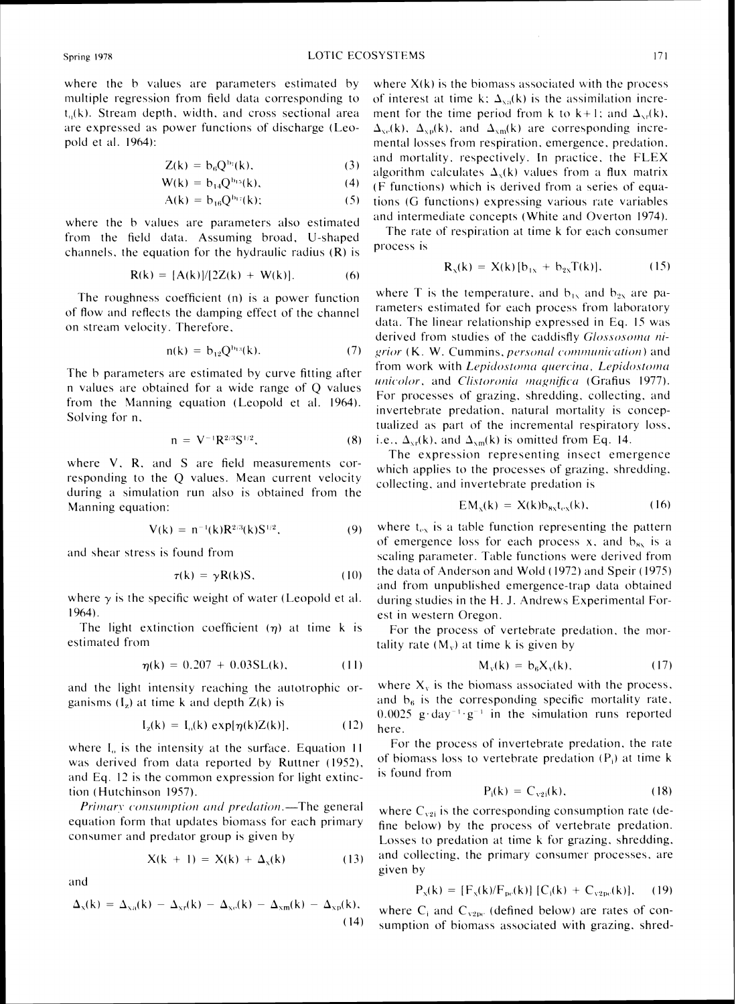where the b values are parameters estimated by multiple regression from field data corresponding to  $t<sub>o</sub>(k)$ . Stream depth, width, and cross sectional area are expressed as power functions of discharge (Leopold et al. 1964):

$$
Z(k) = b_6 Q^{b_7}(k), \qquad (3)
$$

$$
W(k) = b_{14} Q^{b_{15}}(k), \qquad (4)
$$

$$
A(k) = b_{16}Q^{b_{17}}(k); \qquad (5)
$$

where the b values are parameters also estimated from the field data. Assuming broad. U-shaped channels, the equation for the hydraulic radius  $(R)$  is

$$
R(k) = [A(k)]/[2Z(k) + W(k)].
$$
 (6)

The roughness coefficient  $(n)$  is a power function of flow and reflects the damping effect of the channel on stream velocity. Therefore,

$$
n(k) = b_{12} Q^{b_{13}}(k). \tag{7}
$$

The b parameters are estimated by curve fitting after n values are obtained for a wide range of  $\Omega$  values from the Manning equation (Leopold et al. 1964). Solving for n.

$$
n = V^{-1}R^{2/3}S^{1/2}, \qquad (8)
$$

where  $V$ . R. and  $S$  are field measurements corresponding to the *Q* values. Mean current velocit) during a simulation run also is obtained from the Manning equation:

$$
V(k) = n^{-1}(k)R^{2/3}(k)S^{1/2}, \qquad (9)
$$

and shear stress is found from

$$
\tau(k) = \gamma R(k)S, \qquad (10)
$$

where  $\gamma$  is the specific weight of water (Leopold et al. 1964).

The light extinction coefficient  $(\eta)$  at time k is estimated from

$$
\eta(k) = 0.207 + 0.03 SL(k), \tag{11}
$$

and the light intensity reaching the autotrophic organisms  $(I_z)$  at time k and depth  $Z(k)$  is

$$
I_z(k) = I_o(k) \exp[\eta(k)Z(k)], \qquad (12)
$$

where  $I<sub>o</sub>$  is the intensity at the surface. Equation 11 was derived from data reported by Ruttner (1952), and Eq. 12 is the common expression for light extinction (Hutchinson 1957).

Primary consumption and predation.-The general equation form that updates biomass for each primary consumer and predator group is given by

$$
X(k + 1) = X(k) + \Delta_x(k) \tag{13}
$$

and

$$
\Delta_{x}(k) = \Delta_{xa}(k) - \Delta_{xr}(k) - \Delta_{xc}(k) - \Delta_{xm}(k) - \Delta_{xp}(k),
$$
\n(14)

where  $X(k)$  is the biomass associated with the process of interest at time k;  $\Delta_{xa}(k)$  is the assimilation increment for the time period from k to  $k+1$ ; and  $\Delta_{x}$ (k),  $\Delta_{\rm xe}(k)$ ,  $\Delta_{\rm xp}(k)$ , and  $\Delta_{\rm xm}(k)$  are corresponding incremental losses from respiration, emergence, predation, and mortality, respectively. In practice, the FLEX algorithm calculates  $\Delta_{x}(k)$  values from a flux matrix **(I-'** functions) ~khich is derived from a series of equations (G functions) expressing various rate variables and intermediate concepts (White and Overton 1974).

The rate of respiration at time k for each consumer process is

$$
R_x(k) = X(k) [b_{1x} + b_{2x}T(k)], \qquad (15)
$$

where T is the temperature, and  $b_{1x}$  and  $b_{2x}$  are parameters estimated for each process from laboratory data. The linear relationship expressed in Eq. 15 was derived from studies of the caddisfly  $Glossosoma$  nigrior. (K. W. Cummins, personal communication) and from work with Lepidostoma quercina, Lepidostoma unicolor, and Clistoronia magnifica (Grafius 1977). For processes of grazing, shredding, collecting, and invertebrate predation, natural mortality is conceptualized as part of the incremental respiratory loss, i.e.,  $\Delta_{\rm yr}(k)$ , and  $\Delta_{\rm gm}(k)$  is omitted from Eq. 14.

The expression representing insect emergence which applies to the processes of grazing, shredding. collecting, and invertebrate predation is

$$
EMx(k) = X(k)b8xtex(k),
$$
 (16)

where  $t_{ex}$  is a table function representing the pattern of emergence loss for each process x, and  $b_{\rm sx}$  is a scaling parameter. Table functions were derived from the data of Anderson and Wold (1972) and Speir (1975) and from unpublished emergence-trap data obtained during studies in the H. J. Andrews Experimental Forest in western Oregon.

For the process of vertebrate predation, the mortality rate  $(M<sub>v</sub>)$  at time k is given by

$$
M_{v}(k) = b_6 X_{v}(k), \qquad (17)
$$

where  $X<sub>v</sub>$  is the biomass associated with the process. and  $b_6$  is the corresponding specific mortality rate.  $0.0025$  g·day<sup>-1</sup>·g<sup>-1</sup> in the simulation runs reported here.

For the process of invertebrate predation, the rate of biomass loss to vertebrate predation ( $P_i$ ) at time k is found from

$$
P_i(k) = C_{v2i}(k),
$$
 (18)

where  $C_{v2i}$  is the corresponding consumption rate (define below) by the process of vertebrate predation. Losses to predation at time k for grazing, shredding. and collecting. the primary consumer processes, are given by

$$
P_x(k) = [F_x(k)/F_{pc}(k)] [C_i(k) + C_{v2pc}(k)],
$$
 (19)

where  $C_i$  and  $C_{v2pe}$  (defined below) are rates of consumption of biomass associated with grazing. shred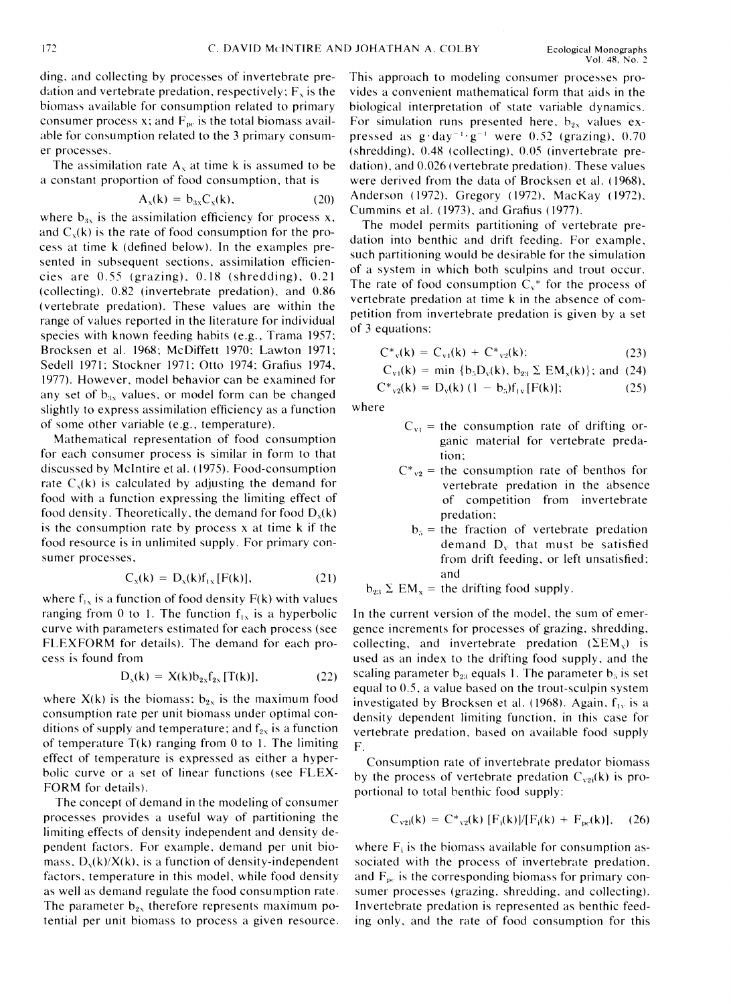ding, and collecting by processes of invertebrate predation and vertebrate predation, respectively;  $F<sub>x</sub>$  is the biomass available for consumption related to primary consumer process x; and  $F_{pc}$  is the total biomass available for consumption related to the 3 primary consumer processes.

The assimilation rate  $A_x$  at time k is assumed to be a constant proportion of food consumption. that is

$$
A_x(k) = b_{3x}C_x(k), \qquad (20)
$$

where  $b_{3x}$  is the assimilation efficiency for process x, and  $C<sub>x</sub>(k)$  is the rate of food consumption for the process at time k (defined below). In the examples presented in subsequent sections, assimilation efficiencies are 0.55 (grazing). 0.18 (shredding). 0.21 (collecting). 0.81 (invertebrate predation). and 0.86 (vertebrate predation). These values are within the range of values reported in the literature for individual species with known feeding habits (e.g., Trama 1957: Brocksen et al. 1968: McDiffett 1970: Lawton 1971; Sedell 1971: Stockner 1971: Otto 1974: Grafius 1974. 1977). However. model behavior can be examined for any set of  $b_{3x}$  values, or model form can be changed slightly to express assimilation efficiency as a function of some other variable (e.g., temperature).

Mathematical representation of food consumption for each consumer process is similar in form to that discussed by McIntire et al. (1975). Food-consumption rate  $C_x(k)$  is calculated by adjusting the demand for food with a function expressing the limiting effect of food density. Theoretically, the demand for food  $D_x(k)$ is the consumption rate by process x at time k if the food resource is in unlimited supply. For primary consumer processes.

$$
C_x(k) = D_x(k)f_{1x}[F(k)], \qquad (21)
$$

where  $f_{1x}$  is a function of food density  $F(k)$  with values ranging from 0 to 1. The function  $f_{1x}$  is a hyperbolic curve with parameters estimated for each process (see FLEXFORM for details). The demand for each process is found from

$$
D_{x}(k) = X(k)b_{2x}f_{2x}[T(k)], \qquad (22)
$$

where  $X(k)$  is the biomass;  $b_{2x}$  is the maximum food consumption rate per unit biomass under optimal conditions of supply and temperature; and  $f_{2x}$  is a function of temperature  $T(k)$  ranging from 0 to 1. The limiting effect of temperature is expressed as either a hyperbolic curve or a set of linear functions (see FLEX-FORM for details).

The concept of demand in the modeling of consumer processes provides a useful way of partitioning the limiting effects of density independent and density dependent factors. For example, demand per unit biomass,  $D_x(k)/X(k)$ , is a function of density-independent factors. temperature in this model. while food density as well as demand regulate the food consumption rate. The parameter  $b_{2x}$  therefore represents maximum potential per unit biomass to process a given resource. This approach to modeling consumer processes provides a convenient mathematical form that aids in the biological interpretation of state variable dynamics. For simulation runs presented here,  $b_{2x}$  values expressed as  $g \cdot day^{-1} \cdot g^{-1}$  were 0.52 (grazing), 0.70 (shredding). 0.48 (collecting). 0.05 (invertebrate predation), and 0.026 (vertebrate predation). These values were derived from the data of Brocksen et al. (1968). Anderson ( 1972). Gregory ( 1972). MacKay ( 1972). Cummins et al.  $(1973)$ , and Grafius  $(1977)$ .

The model permits partitioning of vertebrate predation into benthic and drift feeding. For example. such partitioning would be desirable for the simulation of a system in which both sculpins and trout occur. The rate of food consumption  $C_v^*$  for the process of vertebrate predation at time k in the absence of competition from invertebrate predation is given by a set of 3 equations:

$$
C^*_{v}(k) = C_{v1}(k) + C^*_{v2}(k); \qquad (23)
$$

$$
C_{\rm v1}(k) = \min \{b_5D_{\rm v}(k), b_{23} \Sigma EM_{\rm x}(k)\};
$$
 and (24)

$$
C^*_{v2}(k) = D_v(k) (1 - b_5) f_{1v} [F(k)]; \qquad (25)
$$

where

- $C_{v1}$  = the consumption rate of drifting organic material for vertebrate predation:
- $C^*_{v2}$  = the consumption rate of benthos for vertebrate predation in the absence of competition from invertebrate predation:
	- $b<sub>5</sub>$  = the fraction of vertebrate predation demand  $D_v$  that must be satisfied from drift feeding, or left unsatisfied: and

 $b_{23} \Sigma$  EM<sub>x</sub> = the drifting food supply.

In the current version of the model, the sum of emergence increments for processes of grazing. shredding. collecting, and invertebrate predation ( $\Sigma EM<sub>x</sub>$ ) is used as an index to the drifting food supply, and the scaling parameter  $b_{23}$  equals 1. The parameter  $b_5$  is set equal to 0.5. a value based on the trout-sculpin system investigated by Brocksen et al. (1968). Again,  $f_{1y}$  is a density dependent limiting function. in this case for vertebrate predation. based on available food supply F.

Consumption rate of invertebrate predator biomass by the process of vertebrate predation  $C_{v2i}(k)$  is proportional to total benthic food supply:

$$
C_{v2i}(k) = C_{v2}^{*}(k) [F_i(k)] / [F_i(k) + F_{pc}(k)], \quad (26)
$$

where  $F_i$  is the biomass available for consumption associated with the process of invertebrate predation. and  $F_{\text{pc}}$  is the corresponding biomass for primary consumer processes (grazing, shredding, and collecting). Invertebrate predation is represented as benthic feeding only, and the rate of food consumption for this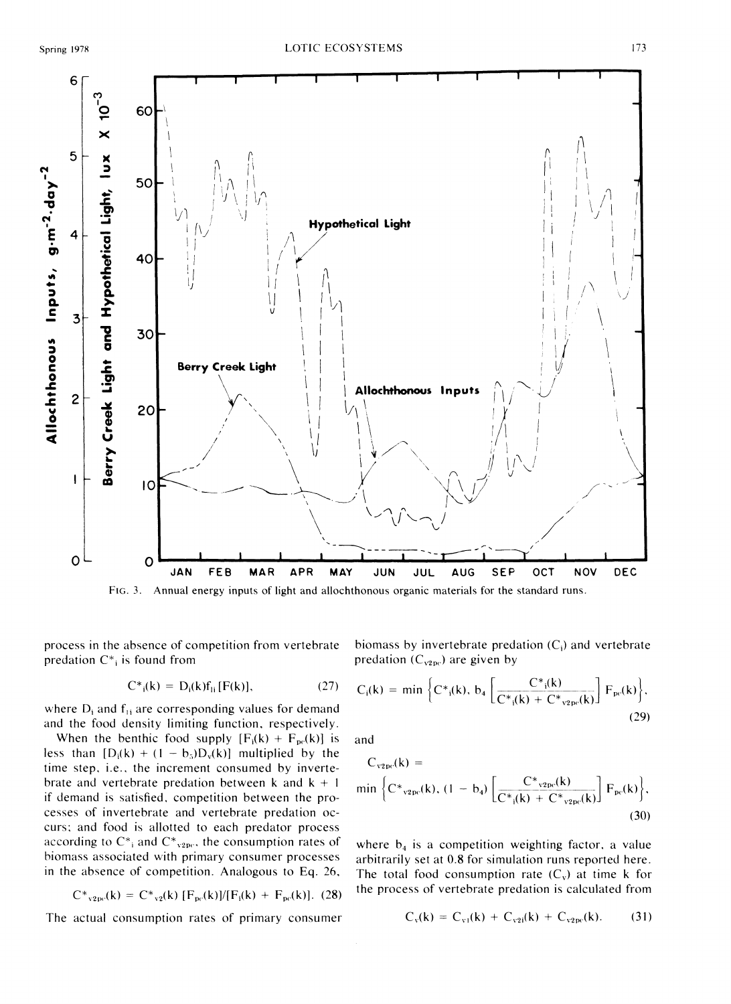

**FIG.***3.* Annual energy inputs of light and allochthonous organic materials for the standard runs

predation  $C^*$ , is found from predation  $(C_{v2pc})$  are given by

$$
C^*_{i}(k) = D_i(k)f_{1i}[F(k)], \qquad (27)
$$

where  $D_i$  and  $f_{1i}$  are corresponding values for demand and the food density limiting function. respectively.

When the benthic food supply  $[F_i(k) + F_{pc}(k)]$  is and less than  $[D_i(k) + (1 - b_5)D_v(k)]$  multiplied by the time step. i.e.. the increment consumed by invertebrate and vertebrate predation between  $k$  and  $k + 1$ if demand is satisfied. competition between the processes of invertebrate and vertebrate predation occurs: and food is allotted to each predator process according to  $C^*$ <sub>i</sub> and  $C^*$ <sub>y</sub>, the consumption rates of where  $b_4$  is a competition weighting factor, a value biomass associated with primary consumer processes arbitrarily set at 0.8 for simulation runs reported he biomass associated with primary consumer processes arbitrarily set at 0.8 for simulation runs reported here.<br>in the absence of competition. Analogous to Eq. 26, The total food consumption rate  $(C_n)$  at time k for

$$
C^*_{v2pe}(k) = C^*_{v2}(k) [F_{pe}(k)]/[F_i(k) + F_{pe}(k)]. (28)
$$

The actual consumption rates of primary consumer

process in the absence of competition from vertebrate biomass by invertebrate predation  $(C_i)$  and vertebrate

$$
C_i(k) = \min \Big\{ C^*_{i}(k), \, b_4 \left[ \frac{C^*_{i}(k)}{C^*_{i}(k) + C^*_{v_{2pc}}(k)} \right] F_{pc}(k) \Big\},\tag{29}
$$

$$
C_{\rm v2pc}(k) = \min \left\{ C^*_{\rm v2pc}(k), (1 - b_4) \left[ \frac{C^*_{\rm v2pc}(k)}{C^*_{\rm i}(k) + C^*_{\rm v2pc}(k)} \right] F_{\rm pc}(k) \right\},\tag{30}
$$

The total food consumption rate  $(C_v)$  at time **k** for the process of vertebrate predation is calculated from

$$
C_{v}(k) = C_{v1}(k) + C_{v2i}(k) + C_{v2pc}(k). \qquad (31)
$$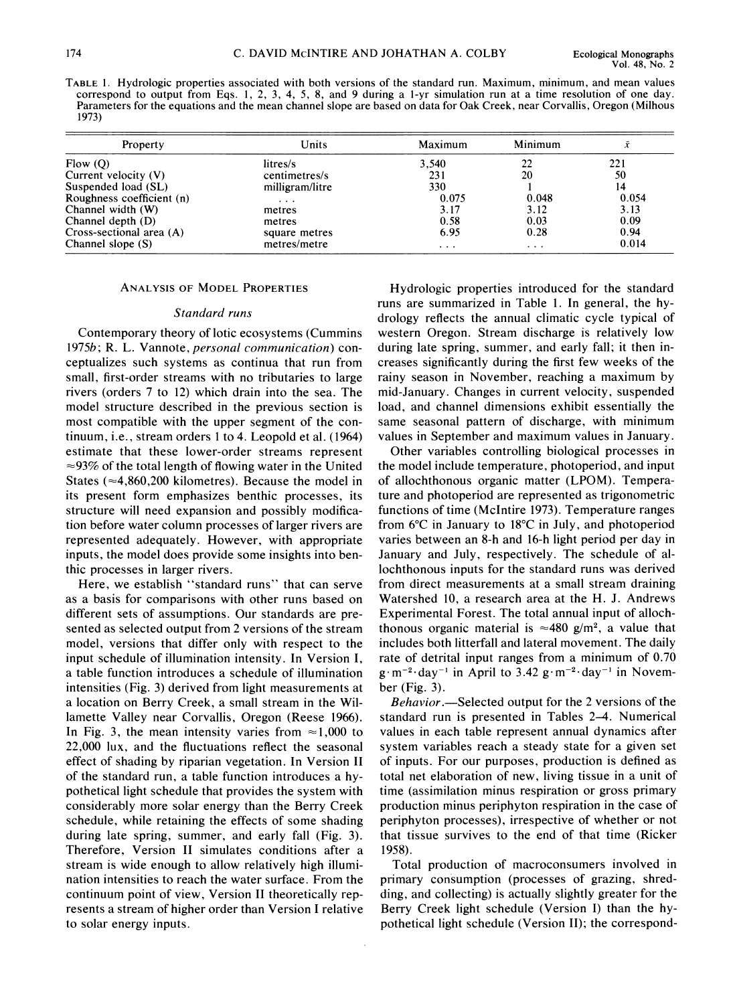TABLE1. Hydrologic properties associated with both versions of the standard run. Maximum, minimum, and mean values correspond to output from Eqs. 1, 2, 3, 4, 5, 8, and 9 during a I-yr simulation run at a time resolution of one day. Parameters for the equations and the mean channel slope are based on data for Oak Creek, near Corvallis, Oregon (Milhous 1973)

| Property                  | Units                | Maximum | Minimum  |       |  |
|---------------------------|----------------------|---------|----------|-------|--|
| Flow (Q)                  | litres/s             | 3.540   | 22       | 221   |  |
| Current velocity (V)      | centimetres/s        | 231     | 20       | 50    |  |
| Suspended load (SL)       | milligram/litre      | 330     |          | 14    |  |
| Roughness coefficient (n) | $\sim$ $\sim$ $\sim$ | 0.075   | 0.048    | 0.054 |  |
| Channel width (W)         | metres               | 3.17    | 3.12     | 3.13  |  |
| Channel depth (D)         | metres               | 0.58    | 0.03     | 0.09  |  |
| Cross-sectional area (A)  | square metres        | 6.95    | 0.28     | 0.94  |  |
| Channel slope (S)         | metres/metre         | .       | $\cdots$ | 0.014 |  |

#### **ANALYSIS OF MODEL PROPERTIES**

#### *Standard runs*

*Contemporary theory of lotic ecosystems (Cummins 19756* ; *R. L. Vannote, personal communication) conceptualizes such systems as continua that run from small, first-order streams with no tributaries to large rivers (orders 7 to 12) which drain into the sea. The model structure described in the previous section is most compatible with the upper segment of the continuum, i.e., stream orders I to 4. Leopold et al. (1964) estimate that these lower-order streams represent ~93%of the total length of flowing water in the United States (~4,860,200 kilometres). Because the model in its present form emphasizes benthic processes, its structure will need expansion and possibly modification before water column processes of larger rivers are represented adequately. However, with appropriate inputs, the model does provide some insights into benthic processes in larger rivers.* 

*Here, we establish "standard runs" that can serve as a basis for comparisons with other runs based on different sets of assumptions. Our standards are presented as selected output from 2 versions of the stream*  model, versions that differ only with respect to the *input schedule of illumination intensity. In Version I, a table function introduces a schedule of illumination intensities (Fig. 3) derived from light measurements at a location on Berry Creek, a small stream in the Willamette Valley near Corvallis, Oregon (Reese 1966).*  In Fig. 3, the mean intensity varies from  $\approx 1,000$  to *22,000 lux, and the fluctuations reflect the seasonal effect of shading by riparian vegetation. In Version I1 of the standard run, a table function introduces a hypothetical light schedule that provides the system with considerably more solar energy than the Berry Creek schedule, while retaining the effects of some shading during late spring, summer, and early fall (Fig. 3). Therefore, Version I1 simulates conditions after a stream is wide enough to allow relatively high illumination intensities to reach the water surface. From the continuum point of view, Version I1 theoretically represents a stream of higher order than Version I relative to solar energy inputs.* 

*Hydrologic properties introduced for the standard runs are summarized in Table 1. In general, the hydrology reflects the annual climatic cycle typical of western Oregon. Stream discharge is relatively low during late spring, summer, and early fall; it then increases significantly during the first few weeks of the rainy season in November, reaching a maximum by mid-January. Changes in current velocity, suspended*  load, and channel dimensions exhibit essentially the *same seasonal pattern of discharge, with minimum values in September and maximum values in January.* 

*Other variables controlling biological processes in the model include temperature, photoperiod, and input of allochthonous organic matter (LPOM). Temperature and photoperiod are represented as trigonometric functions of time (McIntire 1973). Temperature ranges from 6°C in January to 18'C in July, and photoperiod varies between an 8-h and 16-h light period per day in January and July, respectively. The schedule of allochthonous inputs for the standard runs was derived from direct measurements at a small stream draining Watershed 10, a research area at the H. J. Andrews Experimental Forest. The total annual input of alloch*thonous organic material is  $\approx 480$  g/m<sup>2</sup>, a value that *includes both litterfall and lateral movement. The daily rate of detrital input ranges from a minimum of 0.70*   $g \cdot m^{-2} \cdot day^{-1}$  in April to 3.42  $g \cdot m^{-2} \cdot day^{-1}$  in Novem*ber (Fig. 3).* 

*Behavior.-Selected output for the 2 versions of the standard run is presented in Tables 24. Numerical values in each table represent annual dynamics after system variables reach a steady state for a given set of inputs. For our purposes, production is defined as total net elaboration of new, living tissue in a unit of time (assimilation minus respiration or gross primary production minus periphyton respiration in the case of periphyton processes), irrespective of whether or not that tissue survives to the end of that time (Ricker 1958).* 

*Total production of macroconsumers involved in primary consumption (processes of grazing, shredding, and collecting) is actually slightly greater for the Berry Creek light schedule (Version I) than the hypothetical light schedule (Version 11); the correspond-*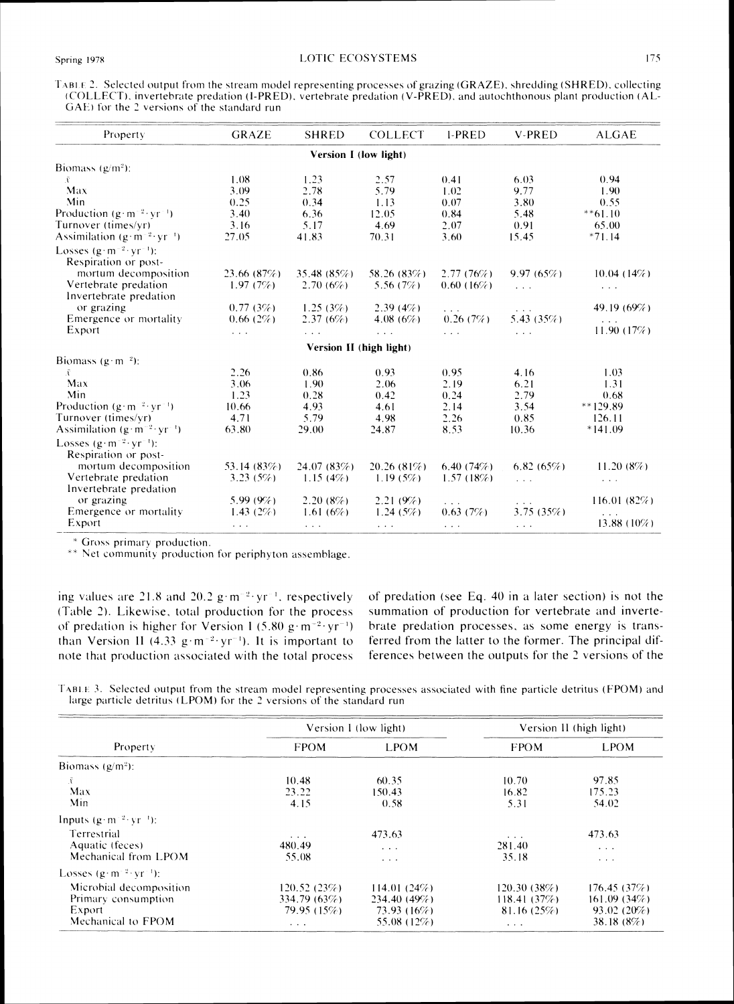| TABLE 2. Selected output from the stream model representing processes of grazing (GRAZE), shredding (SHRED), collecting |  |  |
|-------------------------------------------------------------------------------------------------------------------------|--|--|
| (COLLECT), invertebrate predation (I-PRED), vertebrate predation (V-PRED), and autochthonous plant production (AL-      |  |  |
| GAE) for the 2 versions of the standard run                                                                             |  |  |

| Property                                                          | <b>GRAZE</b>         | <b>SHRED</b>            | <b>COLLECT</b>       | <b>I-PRED</b>                        | <b>V-PRED</b>                                               | <b>ALGAE</b>                                                                            |
|-------------------------------------------------------------------|----------------------|-------------------------|----------------------|--------------------------------------|-------------------------------------------------------------|-----------------------------------------------------------------------------------------|
|                                                                   |                      | Version I (low light)   |                      |                                      |                                                             |                                                                                         |
| Biomass $(g/m^2)$ :                                               |                      |                         |                      |                                      |                                                             |                                                                                         |
| Ã                                                                 | 1.08                 | 1.23                    | 2.57                 | 0.41                                 | 6.03                                                        | 0.94                                                                                    |
| Max                                                               | 3.09                 | 2.78                    | 5.79                 | 1.02                                 | 9.77                                                        | 1.90                                                                                    |
| Min                                                               | 0.25                 | 0.34                    | 1.13                 | 0.07                                 | 3.80                                                        | 0.55                                                                                    |
| Production $(g \cdot m^{-2} \cdot yr^{-1})$                       | 3.40                 | 6.36                    | 12.05                | 0.84                                 | 5.48                                                        | $**61.10$                                                                               |
| Turnover (times/yr)                                               | 3.16                 | 5.17                    | 4.69                 | 2.07                                 | 0.91                                                        | 65.00                                                                                   |
| Assimilation $(g \cdot m^{-2} \cdot yr^{-1})$                     | 27.05                | 41.83                   | 70.31                | 3.60                                 | 15.45                                                       | $*71.14$                                                                                |
| Losses $(g \cdot m^{-2} \cdot vr^{-1})$ :<br>Respiration or post- |                      |                         |                      |                                      |                                                             |                                                                                         |
| mortum decomposition                                              | 23.66 $(87%)$        | 35.48 $(85%)$           | 58.26 (83%)          | 2.77(76%)                            | 9.97(65%)                                                   | 10.04(14%)                                                                              |
| Vertebrate predation<br>Invertebrate predation                    | 1.97(7%)             | 2.70(6%)                | 5.56(7%)             | $0.60(16\%)$                         | $\sim 100$                                                  | $\mathbf{r}=\mathbf{r}+\mathbf{r}$                                                      |
| or grazing                                                        | 0.77(3%)             | 1.25(3%)                | 2.39(4%)             | $\mathbf{r}=\mathbf{r}+\mathbf{r}$ . | $\sim$ $\sim$ $\sim$                                        | 49.19 (69%)                                                                             |
| Emergence or mortality                                            | 0.66(2%)             | 2.37(6%)                | 4.08 $(6\%)$         | 0.26(7%)                             | 5.43 $(35%)$                                                | $\mathbf{r}=\mathbf{r}+\mathbf{r}$ .                                                    |
| Export                                                            | $\sim$ $\sim$ $\sim$ |                         | $\sim$ $\sim$ $\sim$ | $\sim 100$                           | $\sim$ $\sim$ $\sim$                                        | 11.90(17%)                                                                              |
|                                                                   |                      | Version II (high light) |                      |                                      |                                                             |                                                                                         |
| Biomass $(g \cdot m^{-2})$ :                                      |                      |                         |                      |                                      |                                                             |                                                                                         |
| Ã                                                                 | 2.26                 | 0.86                    | 0.93                 | 0.95                                 | 4.16                                                        | 1.03                                                                                    |
| Max                                                               | 3.06                 | 1.90                    | 2.06                 | 2.19                                 | 6.21                                                        | 1.31                                                                                    |
| Min                                                               | 1.23                 | 0.28                    | 0.42                 | 0.24                                 | 2.79                                                        | 0.68                                                                                    |
| Production $(g \cdot m^{-2} \cdot yr^{-1})$                       | 10.66                | 4.93                    | 4.61                 | 2.14                                 | 3.54                                                        | $**129.89$                                                                              |
| Turnover (times/yr)                                               | 4.71                 | 5.79                    | 4.98                 | 2.26                                 | 0.85                                                        | 126.11                                                                                  |
| Assimilation $(g \cdot m^{-2} \cdot vr^{-1})$                     | 63.80                | 29.00                   | 24.87                | 8.53                                 | 10.36                                                       | $*141.09$                                                                               |
| Losses $(g \cdot m^{-2} \cdot vr^{-1})$ :<br>Respiration or post- |                      |                         |                      |                                      |                                                             |                                                                                         |
| mortum decomposition                                              | 53.14 $(83%)$        | 24.07 (83%)             | $20.26(81\%)$        | 6.40(74%)                            | 6.82(65%)                                                   | 11.20(8%)                                                                               |
| Vertebrate predation<br>Invertebrate predation                    | 3.23(5%)             | 1.15(4%)                | 1.19(5%)             | 1.57(18%)                            | $\mathcal{L}^{\mathcal{A}}$ and $\mathcal{L}^{\mathcal{A}}$ | $\alpha \rightarrow \alpha \rightarrow \alpha$                                          |
| or grazing                                                        | $5.99(9\%)$          | 2.20(8%)                | 2.21(9%)             | $\sim$ $\sim$ $\sim$                 | $\mathcal{L}^{\mathcal{A}}$ and $\mathcal{L}^{\mathcal{A}}$ | 116.01(82%)                                                                             |
| Emergence or mortality                                            | 1.43 $(2%)$          | 1.61(6%)                | 1.24(5%)             | 0.63(7%)                             | 3.75(35%)                                                   | $\mathcal{L}^{\mathcal{L}}$ , $\mathcal{L}^{\mathcal{L}}$ , $\mathcal{L}^{\mathcal{L}}$ |
| Export                                                            | $\sim$ $\sim$ $\sim$ | $\sim$ $\sim$ $\sim$    | $\sim$ $\sim$ $\sim$ | $\mathbf{r}=\mathbf{r}+\mathbf{r}$   | $\mathbf{r} = \mathbf{r} + \mathbf{r}$ .                    | 13.88 (10%)                                                                             |

\* Gross primary production.

\*\* Net community production for periphyton assemblage.

ing values are 21.8 and 20.2  $g \cdot m^{-2} \cdot yr^{-1}$ , respectively (Table 2). Likewise, total production for the process of predation is higher for Version I (5.80 g·m<sup>-2</sup>·yr<sup>-1</sup>) than Version II (4.33  $g \cdot m^{-2} \cdot yr^{-1}$ ). It is important to note that production associated with the total process of predation (see Eq. 40 in a later section) is not the summation of production for vertebrate and invertebrate predation processes, as some energy is transferred from the latter to the former. The principal differences between the outputs for the 2 versions of the

TABLE 3. Selected output from the stream model representing processes associated with fine particle detritus (FPOM) and large particle detritus (LPOM) for the 2 versions of the standard run

|                                                                                |                                                       | Version I (low light)                                          | Version II (high light)                              |                                                                      |  |
|--------------------------------------------------------------------------------|-------------------------------------------------------|----------------------------------------------------------------|------------------------------------------------------|----------------------------------------------------------------------|--|
| Property                                                                       | <b>FPOM</b>                                           | <b>LPOM</b>                                                    | <b>FPOM</b>                                          | <b>LPOM</b>                                                          |  |
| Biomass $(g/m^2)$ :                                                            |                                                       |                                                                |                                                      |                                                                      |  |
| Ÿ.<br>Max<br>Min                                                               | 10.48<br>23.22<br>4.15                                | 60.35<br>150.43<br>0.58                                        | 10.70<br>16.82<br>5.31                               | 97.85<br>175.23<br>54.02                                             |  |
| Inputs $(g \cdot m^{-2} \cdot vr^{-1})$ :                                      |                                                       |                                                                |                                                      |                                                                      |  |
| Terrestrial<br>Aquatic (feces)<br>Mechanical from LPOM                         | $\cdot$ $\cdot$ $\cdot$<br>480.49<br>55.08            | 473.63<br>$\alpha$ , $\alpha$ , $\alpha$<br>$\cdots$           | $\alpha = \alpha = \alpha$<br>281.40<br>35.18        | 473.63<br>$\sim$ $\sim$ $\sim$<br>$\mathbf{r}=\mathbf{r}+\mathbf{r}$ |  |
| Losses $(g \cdot m^{-2} \cdot vr^{-1})$ :                                      |                                                       |                                                                |                                                      |                                                                      |  |
| Microbial decomposition<br>Primary consumption<br>Export<br>Mechanical to FPOM | 120.52(23%)<br>334.79(63%)<br>79.95 (15%)<br>$\cdots$ | 114.01(24%)<br>$234.40(49\%)$<br>73.93 (16%)<br>55.08 $(12\%)$ | 120.30(38%)<br>118.41(37%)<br>81.16(25%)<br>$\cdots$ | 176.45(37%)<br>161.09(34%)<br>$93.02(20\%)$<br>38.18(8%)             |  |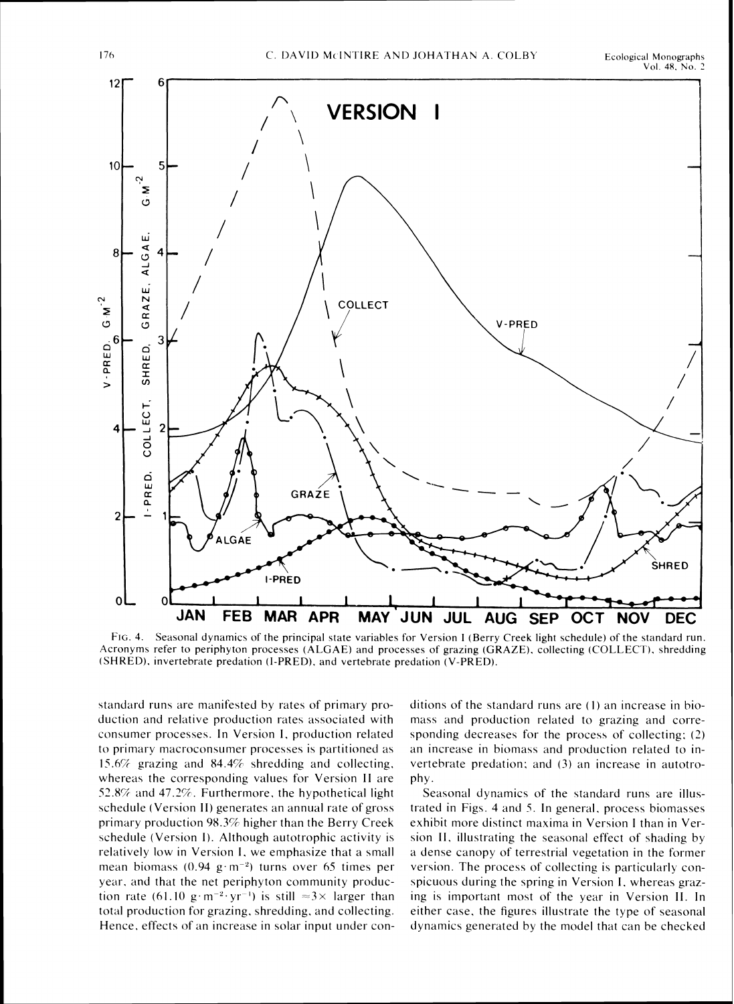

FIG. 4. Seasonal dynamics of the principal state variables for Version I (Berry Creek light schedule) of the standard run. Acronyms refer to periphyton processes (ALGAE) and processes of grazing (GRAZE), collecting (COLLECT), shredding (SHRED), invertebrate predation (I-PRED), and vertebrate predation (V-PRED).

standard runs are manifested by rates of primary production and relative production rates associated with consumer processes. In Version I, production related to primary macroconsumer processes is partitioned as 15.6% grazing and 84.4% shredding and collecting, whereas the corresponding values for Version II are 52.8% and 47.2%. Furthermore, the hypothetical light schedule (Version II) generates an annual rate of gross primary production 98.3% higher than the Berry Creek schedule (Version I). Although autotrophic activity is relatively low in Version I, we emphasize that a small mean biomass (0.94 g·m<sup>-2</sup>) turns over 65 times per year, and that the net periphyton community production rate (61.10 g·m<sup>-2</sup>·yr<sup>-1</sup>) is still  $\approx 3 \times$  larger than total production for grazing, shredding, and collecting. Hence, effects of an increase in solar input under conditions of the standard runs are (1) an increase in biomass and production related to grazing and corresponding decreases for the process of collecting; (2) an increase in biomass and production related to invertebrate predation; and (3) an increase in autotrophy.

Seasonal dynamics of the standard runs are illustrated in Figs. 4 and 5. In general, process biomasses exhibit more distinct maxima in Version I than in Version II, illustrating the seasonal effect of shading by a dense canopy of terrestrial vegetation in the former version. The process of collecting is particularly conspicuous during the spring in Version I, whereas grazing is important most of the year in Version II. In either case, the figures illustrate the type of seasonal dynamics generated by the model that can be checked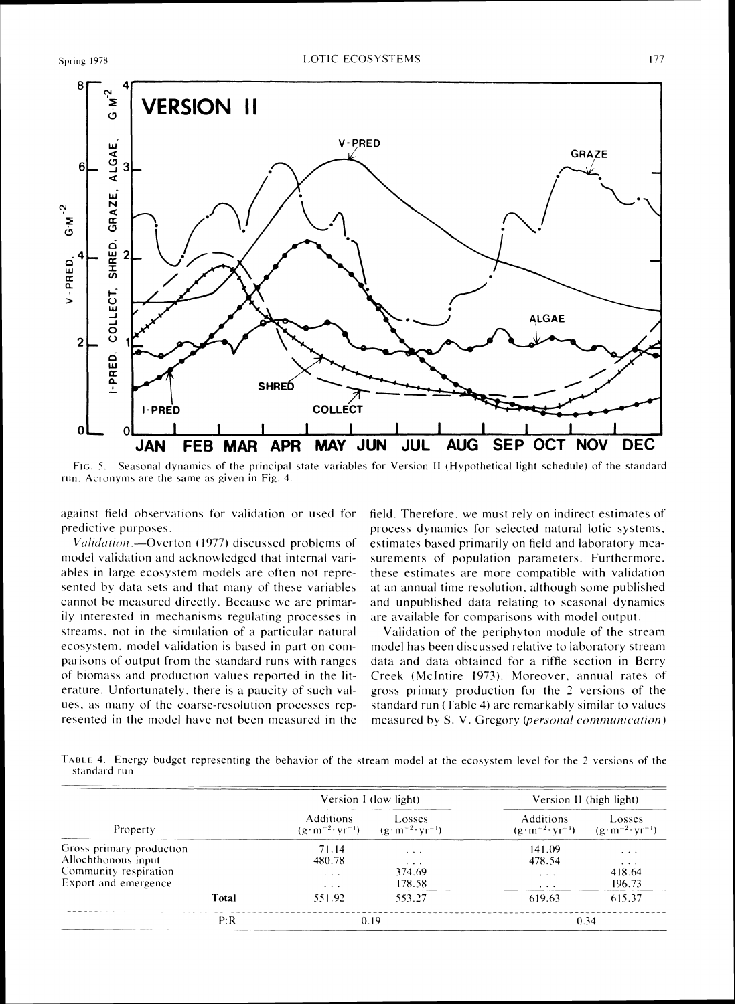

FIG. 5. Seasonal dynamics of the principal state variables for Version II (Hypothetical light schedule) of the standard run. Acronyms are the same as given in Fig. 4.

against field observations for validation or used for predictive purposes.

Validation - Overton (1977) discussed problems of model validation and acknowledged that internal variables in large ecosystem models are often not represented by data sets and that many of these variables cannot be measured directly. Because we are primarily interested in mechanisms regulating processes in streams, not in the simulation of a particular natural ecosystem, model validation is based in part on comparisons of output from the standard runs with ranges of biomass and production values reported in the literature. Unfortunately, there is a paucity of such values, as many of the coarse-resolution processes represented in the model have not been measured in the field. Therefore, we must rely on indirect estimates of process dynamics for selected natural lotic systems, estimates based primarily on field and laboratory measurements of population parameters. Furthermore, these estimates are more compatible with validation at an annual time resolution, although some published and unpublished data relating to seasonal dynamics are available for comparisons with model output.

Validation of the periphyton module of the stream model has been discussed relative to laboratory stream data and data obtained for a riffle section in Berry Creek (McIntire 1973). Moreover, annual rates of gross primary production for the 2 versions of the standard run (Table 4) are remarkably similar to values measured by S. V. Gregory (personal communication)

TABLE 4. Energy budget representing the behavior of the stream model at the ecosystem level for the 2 versions of the standard run

|                                                                                                  |       | Version I (low light)                   |                                                                             | Version II (high light)                                 |                                                              |  |
|--------------------------------------------------------------------------------------------------|-------|-----------------------------------------|-----------------------------------------------------------------------------|---------------------------------------------------------|--------------------------------------------------------------|--|
| Property                                                                                         |       | <b>Additions</b>                        | Losses<br>$(g \cdot m^{-2} \cdot yr^{-1})$ $(g \cdot m^{-2} \cdot yr^{-1})$ | <b>Additions</b><br>$(g \cdot m^{-2} \cdot yr^{-1})$    | Losses<br>$(g \cdot m^{-2} \cdot yr^{-1})$                   |  |
| Gross primary production<br>Allochthonous input<br>Community respiration<br>Export and emergence |       | 71.14<br>480.78<br>$\cdots$<br>$\cdots$ | $\cdots$<br>$\cdots$<br>374.69<br>178.58                                    | 141.09<br>478.54<br>$\cdots$<br>$\cdot$ $\cdot$ $\cdot$ | $\sim$ 100 $\sim$ 100 $\sim$<br>$\cdots$<br>418.64<br>196.73 |  |
|                                                                                                  | Total | 551.92                                  | 553.27                                                                      | 619.63                                                  | 615.37                                                       |  |
|                                                                                                  | P:R   | 0.19                                    |                                                                             | 0.34                                                    |                                                              |  |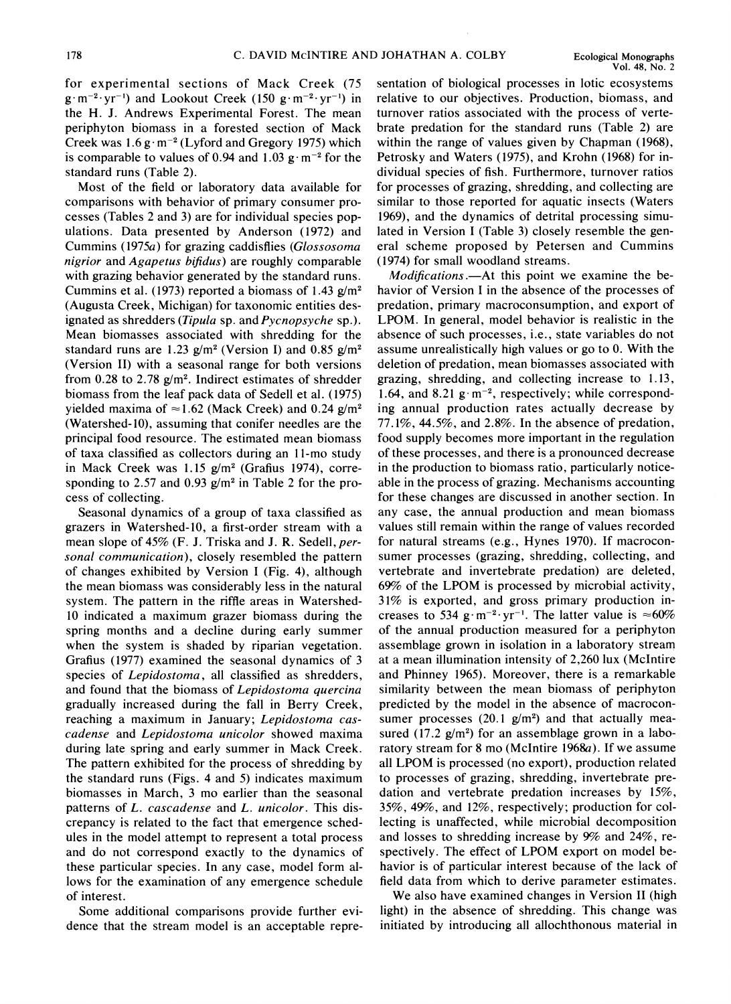for experimental sections of Mack Creek (75  $g \cdot m^{-2} \cdot yr^{-1}$  and Lookout Creek (150  $g \cdot m^{-2} \cdot yr^{-1}$ ) in the H. J. Andrews Experimental Forest. The mean periphyton biomass in a forested section of Mack Creek was  $1.6 \text{ g} \cdot \text{m}^{-2}$  (Lyford and Gregory 1975) which is comparable to values of 0.94 and 1.03  $\mu$  m<sup>-2</sup> for the standard runs (Table 2).

Most of the field or laboratory data available for comparisons with behavior of primary consumer processes (Tables 2 and 3) are for individual species populations. Data presented by Anderson (1972) and Cummins (197%) for grazing caddisflies (Glossosoma nigrior and Agapetus bifidus) are roughly comparable with grazing behavior generated by the standard runs. Cummins et al. (1973) reported a biomass of 1.43  $\frac{g}{m^2}$ (Augusta Creek, Michigan) for taxonomic entities designated as shredders (Tipula sp. and Pycnopsyche sp.). Mean biomasses associated with shredding for the standard runs are 1.23  $g/m^2$  (Version I) and 0.85  $g/m^2$ (Version 11) with a seasonal range for both versions from 0.28 to 2.78  $g/m^2$ . Indirect estimates of shredder biomass from the leaf pack data of Sedell et al. (1975) vielded maxima of  $\approx$ 1.62 (Mack Creek) and 0.24 g/m<sup>2</sup> (Watershed-lo), assuming that conifer needles are the principal food resource. The estimated mean biomass of taxa classified as collectors during an 11-mo study in Mack Creek was  $1.15$  g/m<sup>2</sup> (Grafius 1974), corresponding to 2.57 and 0.93  $g/m^2$  in Table 2 for the process of collecting.

Seasonal dynamics of a group of taxa classified as grazers in Watershed-10, a first-order stream with a mean slope of 45% (F. J. Triska and J. R. Sedell, personal communication), closely resembled the pattern of changes exhibited by Version I (Fig. 4), although the mean biomass was considerably less in the natural system. The pattern in the riffle areas in Watershed-10 indicated a maximum grazer biomass during the spring months and a decline during early summer when the system is shaded by riparian vegetation. Grafius (1977) examined the seasonal dynamics of 3 species of *Lepidostoma*, all classified as shredders, and found that the biomass of Lepidostoma quercina gradually increased during the fall in Berry Creek, reaching a maximum in January; Lepidostoma cascadense and Lepidostoma unicolor showed maxima during late spring and early summer in Mack Creek. The pattern exhibited for the process of shredding by the standard runs (Figs. 4 and 5) indicates maximum biomasses in March, 3 mo earlier than the seasonal patterns of L. cascadense and L. unicolor. This discrepancy is related to the fact that emergence schedules in the model attempt to represent a total process and do not correspond exactly to the dynamics of these particular species. In any case, model form allows for the examination of any emergence schedule of interest.

Some additional comparisons provide further evidence that the stream model is an acceptable repre-

sentation of biological processes in lotic ecosystems relative to our objectives. Production, biomass, and turnover ratios associated with the process of vertebrate predation for the standard runs (Table 2) are within the range of values given by Chapman (1968), Petrosky and Waters (1975), and Krohn (1968) for individual species of fish. Furthermore, turnover ratios for processes of grazing, shredding, and collecting are similar to those reported for aquatic insects (Waters 1969), and the dynamics of detrital processing simulated in Version I (Table 3) closely resemble the general scheme proposed by Petersen and Cummins (1974) for small woodland streams.

Modifications.—At this point we examine the behavior of Version I in the absence of the processes of predation, primary macroconsumption, and export of LPOM. In general, model behavior is realistic in the absence of such processes, i.e., state variables do not assume unrealistically high values or go to 0. With the deletion of predation, mean biomasses associated with grazing, shredding, and collecting increase to 1.13, 1.64, and 8.21  $g \cdot m^{-2}$ , respectively; while corresponding annual production rates actually decrease by 77.1%, 44.5%, and 2.8%. In the absence of predation, food supply becomes more important in the regulation of these processes, and there is a pronounced decrease in the production to biomass ratio, particularly noticeable in the process of grazing. Mechanisms accounting for these changes are discussed in another section. In any case, the annual production and mean biomass values still remain within the range of values recorded for natural streams (e.g., Hynes 1970). If macroconsumer processes (grazing, shredding, collecting, and vertebrate and invertebrate predation) are deleted, 69% of the LPOM is processed by microbial activity, 31% is exported, and gross primary production increases to 534 g·m<sup>-2</sup>·yr<sup>-1</sup>. The latter value is  $\approx 60\%$ of the annual production measured for a periphyton assemblage grown in isolation in a laboratory stream at a mean illumination intensity of 2,260 lux (McIntire and Phinney 1965). Moreover, there is a remarkable similarity between the mean biomass of periphyton predicted by the model in the absence of macroconsumer processes  $(20.1 \text{ g/m}^2)$  and that actually measured (17.2  $g/m^2$ ) for an assemblage grown in a laboratory stream for 8 mo (McIntire  $1968a$ ). If we assume all LPOM is processed (no export), production related to processes of grazing, shredding, invertebrate predation and vertebrate predation increases by 15%, 35%, 49%, and 12%, respectively; production for collecting is unaffected, while microbial decomposition and losses to shredding increase by 9% and 24%, respectively. The effect of LPOM export on model behavior is of particular interest because of the lack of field data from which to derive parameter estimates.

We also have examined changes in Version I1 (high light) in the absence of shredding. This change was initiated by introducing all allochthonous material in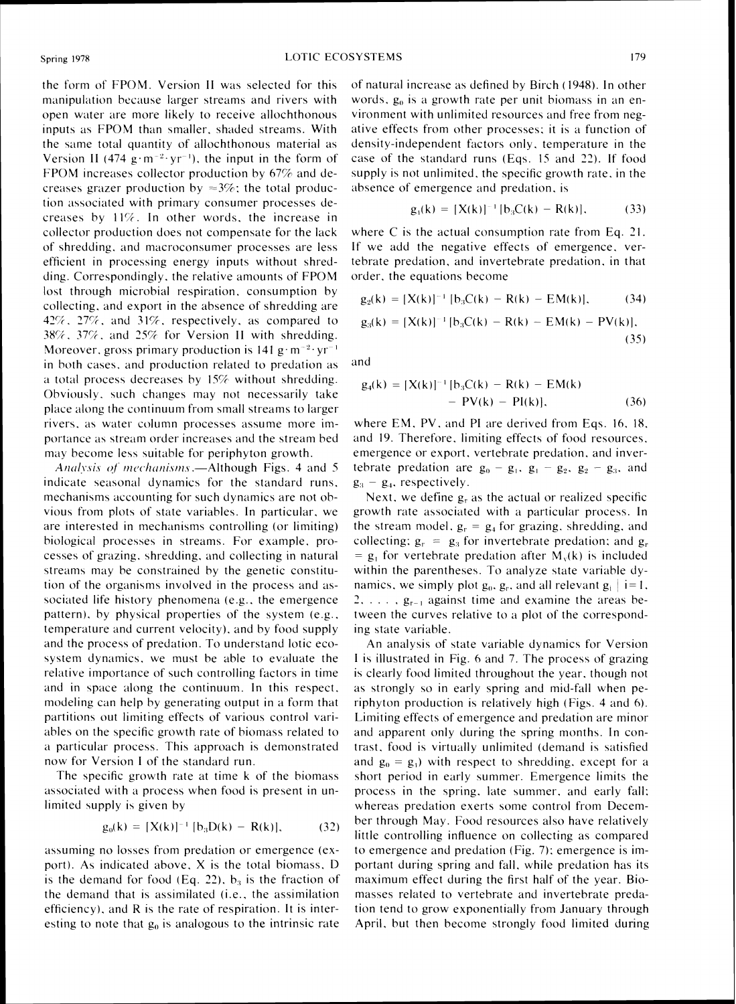the form of FPOM. Version II was selected for this manipulation because larger streams and rivers with open water are more likely to receive allochthonous inputs as FPOM than smaller, shaded streams. With the same total quantity of allochthonous material as Version II (474 g·m<sup>-2</sup>·yr<sup>-1</sup>), the input in the form of FPOM increases collector production by  $67\%$  and decreases grazer production by  $\approx 3\%$ ; the total production associated with primary consumer processes decreases by  $11\%$ . In other words, the increase in collector production does not compensate for the lack of shredding, and macroconsumer processes are less efficient in processing energy inputs without shredding. Correspondingly, the relative amounts of FPOM lost through microbial respiration, consumption by collecting. and export in the absence of shredding are 42%, 27%, and 31%, respectively, as compared to 38%, 37%, and 25% for Version II with shredding. Moreover, gross primary production is  $141 \text{ g} \cdot \text{m}^{-2} \cdot \text{yr}^{-1}$ in both cases, and production related to predation as a total process decreases by  $15\%$  without shredding. Obviously, such changes may not necessarily take place along the continuum from small streams to larger rivers, as water column processes assume more importance as stream order increases and the stream bed may become less suitable for periphyton growth.

*Analysis of mechanisms.*—Although Figs. 4 and 5 indicate seasonal dynamics for the standard runs. mechanisms accounting for such dynamics are not obvious from plots of state variables. In particular. we are interested in mechanisms controlling (or limiting) biological processes in streams. For example, processes of grazing, shredding, and collecting in natural streams may be constrained by the genetic constitution of the organisms involved in the process and associated life history phenomena (e.g., the emergence pattern), by physical properties of the system  $(e.g.,)$ temperature and current velocity). and by food supply and the process of predation. To understand lotic ecosystem dynamics, we must be able to evaluate the relative importance of such controlling factors in time and in space along the continuum. In this respect, modeling can help by generating output in a form that partitions out limiting effects of various control variables on the specific growth rate of biomass related to a particular process. This approach is demonstrated now for Version I of the standard run.

The specific growth rate at time k of the biomass associated with a process when food is present in unlimited supply is given by

$$
g_0(k) = [X(k)]^{-1} [b_3D(k) - R(k)], \qquad (32)
$$

assuming no losses from predation or emergence (export). As indicated above,  $X$  is the total biomass,  $D$ is the demand for food (Eq. 22),  $b_3$  is the fraction of the dernand that is assimilated (i.e.. the assimilation efficiency), and  $R$  is the rate of respiration. It is interesting to note that  $g_0$  is analogous to the intrinsic rate of natural increase as defined by Birch (1948). In other words,  $g_0$  is a growth rate per unit biomass in an environment with unlimited resources and free from negative effects from other processes: it is a function of density-independent factors only, temperature in the case of the standard runs (Eqs. 15 and 22). If food supply is not unlimited, the specific growth rate, in the absence of emergence and predation, is

$$
g_1(k) = [X(k)]^{-1} [b_3 C(k) - R(k)], \qquad (33)
$$

where C is the actual consumption rate from Eq. 21. If we add the negative effects of emergence, vertebrate predation. and invertebrate predation, in that order, the equations become

$$
g_2(k) = [X(k)]^{-1} [b_3 C(k) - R(k) - EM(k)], \qquad (34)
$$

$$
g_3(k) = [X(k)]^{-1} [b_3 C(k) - R(k) - EM(k) - PV(k)],
$$
\n(35)

and

$$
g_4(k) = [X(k)]^{-1} [b_3C(k) - R(k) - EM(k) - PV(k) - PI(k)],
$$
\n(36)

where EM, PV, and PI are derived from Eqs. 16, 18, and 19. Therefore. limiting effects of food resources. emergence or export. vertebrate predation. and invertebrate predation are  $g_0 - g_1$ ,  $g_1 - g_2$ ,  $g_2 - g_3$ , and  $g_3 - g_4$ , respectively.

Next, we define  $g<sub>r</sub>$  as the actual or realized specific growth rate associated with a particular process. In the stream model,  $g_r = g_4$  for grazing, shredding, and collecting:  $g_r = g_3$  for invertebrate predation: and  $g_r$ =  $g_1$  for vertebrate predation after  $M_v(k)$  is included within the parentheses. To analyze state variable dynamics, we simply plot  $g_0$ ,  $g_r$ , and all relevant  $g_i$  i= 1.  $2, \ldots, g_{r-1}$  against time and examine the areas between the curves relative to a plot of the corresponding state variable.

An analysis of state variable dynamics for Version 1 is illustrated in Fig. 6 and 7. The process of grazing is clearly food limited throughout the year, though not as strongly so in early spring and mid-fall when periphyton production is relatively high (Figs. 4 and 6). Limiting effects of emergence and predation are minor and apparent only during the spring months. In contrast, food is virtually unlimited (demand is satisfied and  $g_0 = g_1$ ) with respect to shredding, except for a short period in early summer. Emergence limits the process in the spring, late summer, and early fall; whereas predation exerts some control from December through May. Food resources also have relatively little controlling influence on collecting as compared to emergence and predation (Fig. 7); emergence is important during spring and fall, while predation has its maximum effect during the first half of the year. Biomasses related to vertebrate and invertebrate predation tend to grow exponentially from January through April. but then become strongly food limited during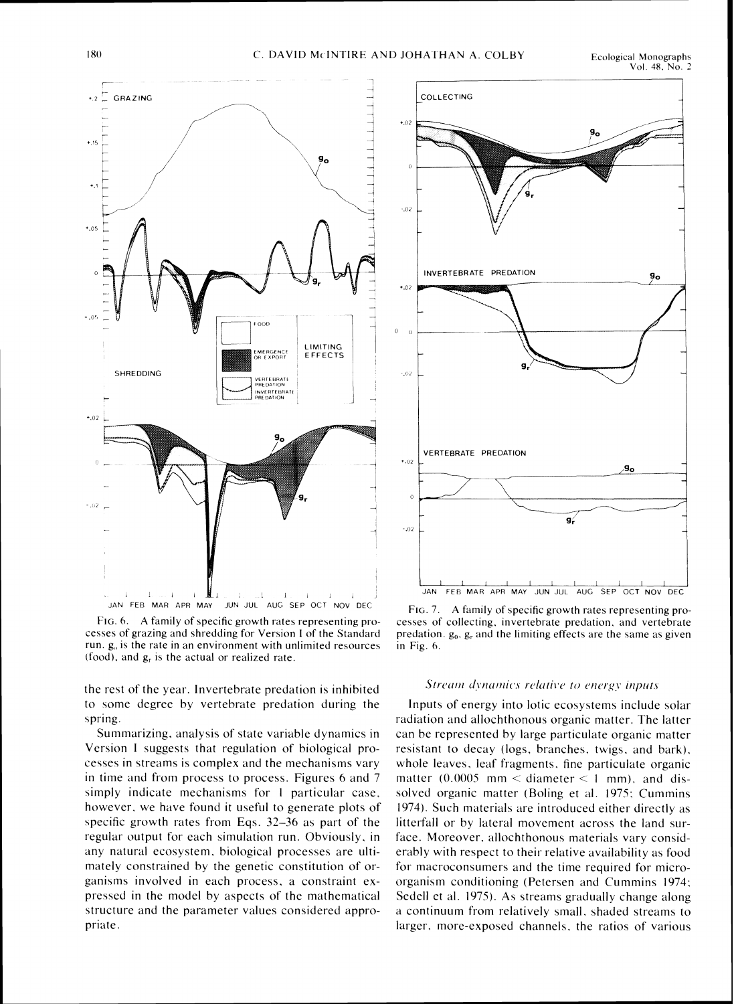

FIG. 6. A family of specific growth rates representing processes of grazing and shredding for Version I of the Standard run.  $g<sub>0</sub>$  is the rate in an environment with unlimited resources (food), and  $g_r$  is the actual or realized rate.

the rest of the year. Invertebrate predation is inhibited to some degree by vertebrate predation during the spring.

Summarizing, analysis of state variable dynamics in Version I suggests that regulation of biological processes in streams is complex and the mechanisms vary in time and from process to process. Figures 6 and 7 simply indicate mechanisms for 1 particular case, however, we have found it useful to generate plots of specific growth rates from Eqs.  $32-36$  as part of the regular output for each simulation run. Obviously. in any natural ecosystem, biological processes are ultimately constrained by the genetic constitution of organisms involved in each process, a constraint expressed in the model by aspects of the mathematical structure and the parameter values considered appropriate.



FIG. 7. A family of specific growth rates representing processes of collecting, invertebrate predation, and vertebrate predation.  $g_0$ ,  $g_r$  and the limiting effects are the same as given in Fig. 6.

#### Stream dynamics relative to energy inputs

Inputs of energy into lotic ecosystems include solar radiation and allochthonous organic matter. The latter can be represented by large particulate organic matter resistant to decay (logs, branches. twigs. and bark). whole leaves, leaf fragments, fine particulate organic matter (0.0005 mm  $\lt$  diameter  $\lt$  1 mm), and dissolved organic matter (Boling et al. 1975: Cummins 1974). Such materials are introduced either directly as litterfall or by lateral movement across the land surface. Moreover, allochthonous materials vary considerably with respect to their relative availability as food for macroconsumers and the time required for microorganism conditioning (Petersen and Cummins 1974: Sedell et al. 1975). As streams gradually change along a continuum from relatively small. shaded streams to larger. more-exposed channels. the ratios of various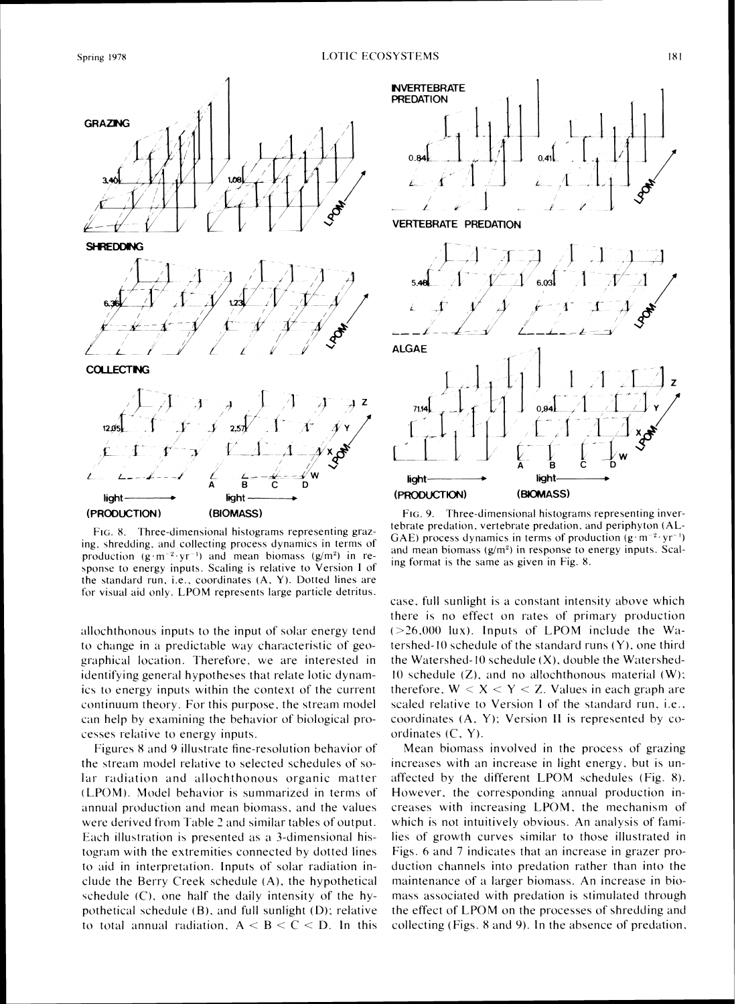

FIG. 8. Three-dimensional histograms representing grazing, shredding, and collecting process dynamics in terms of production  $(g \cdot m^{-2} \cdot yr^{-1})$  and mean biomass  $(g/m^2)$  in response to energy inputs. Scaling is relative to Version 1 of the standard run, i.e., coordinates (A, Y). Dotted lines are for visual aid only. LPOM represents large particle detritus.

allochthonous inputs to the input of solar energy tend to change in a predictable way characteristic of geographical location. Therefore, we are interested in identifying general hypotheses that relate lotic dynamics to energy inputs within the context of the current continuum theory. For this purpose, the stream model can help by examining the behavior of biological processes relative to energy inputs.

Figures 8 and 9 illustrate fine-resolution behavior of the stream model relative to selected schedules of solar radiation and allochthonous organic matter (LPOM). Model behavior is summarized in terms of annual production and mean biomass, and the values were derived from Table 2 and similar tables of output. Each illustration is presented as a 3-dimensional histogram with the extremities connected by dotted lines to aid in interpretation. Inputs of solar radiation include the Berry Creek schedule (A), the hypothetical schedule (C), one half the daily intensity of the hypothetical schedule (B), and full sunlight (D); relative to total annual radiation,  $A < B < C < D$ . In this



FIG. 9. Three-dimensional histograms representing invertebrate predation, vertebrate predation, and periphyton (AL-GAE) process dynamics in terms of production  $(g \cdot m^{-2} \cdot yr^{-1})$ and mean biomass  $(g/m^2)$  in response to energy inputs. Scaling format is the same as given in Fig. 8.

case, full sunlight is a constant intensity above which there is no effect on rates of primary production  $(>26,000$  lux). Inputs of LPOM include the Watershed-10 schedule of the standard runs  $(Y)$ , one third the Watershed-10 schedule  $(X)$ , double the Watershed-10 schedule  $(Z)$ , and no allochthonous material  $(W)$ ; therefore,  $W < X < Y < Z$ . Values in each graph are scaled relative to Version I of the standard run, i.e., coordinates (A, Y); Version II is represented by coordinates  $(C, Y)$ .

Mean biomass involved in the process of grazing increases with an increase in light energy, but is unaffected by the different LPOM schedules (Fig. 8). However, the corresponding annual production increases with increasing LPOM, the mechanism of which is not intuitively obvious. An analysis of families of growth curves similar to those illustrated in Figs. 6 and 7 indicates that an increase in grazer production channels into predation rather than into the maintenance of a larger biomass. An increase in biomass associated with predation is stimulated through the effect of LPOM on the processes of shredding and collecting (Figs. 8 and 9). In the absence of predation,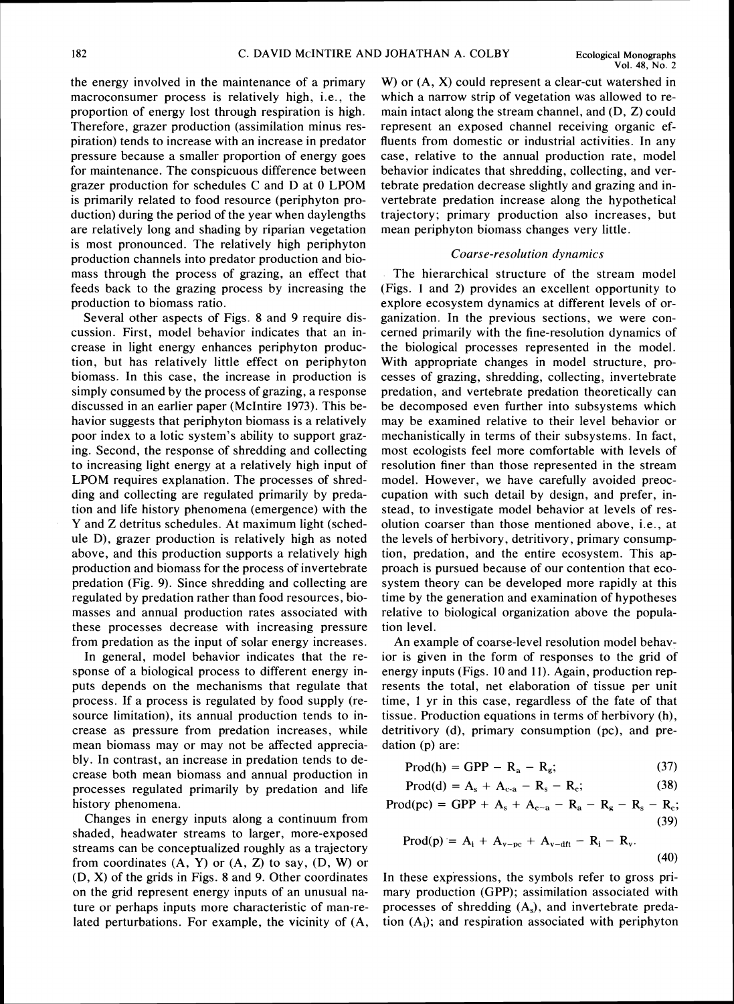the energy involved in the maintenance of a primary macroconsumer process is relatively high, i.e., the proportion of energy lost through respiration is high. Therefore, grazer production (assimilation minus respiration) tends to increase with an increase in predator pressure because a smaller proportion of energy goes for maintenance. The conspicuous difference between grazer production for schedules C and D at 0 LPOM is primarily related to food resource (periphyton production) during the period of the year when daylengths are relatively long and shading by riparian vegetation is most pronounced. The relatively high periphyton production channels into predator production and biomass through the process of grazing, an effect that feeds back to the grazing process by increasing the production to biomass ratio.

Several other aspects of Figs. 8 and 9 require discussion. First, model behavior indicates that an increase in light energy enhances periphyton production, but has relatively little effect on periphyton biomass. In this case, the increase in production is simply consumed by the process of grazing, a response discussed in an earlier paper (McIntire 1973). This behavior suggests that periphyton biomass is a relatively poor index to a lotic system's ability to support grazing. Second, the response of shredding and collecting to increasing light energy at a relatively high input of LPOM requires explanation. The processes of shredding and collecting are regulated primarily by predation and life history phenomena (emergence) with the Y and Z detritus schedules. At maximum light (schedule D), grazer production is relatively high as noted above, and this production supports a relatively high production and biomass for the process of invertebrate predation (Fig. 9). Since shredding and collecting are regulated by predation rather than food resources, biomasses and annual production rates associated with these processes decrease with increasing pressure from predation as the input of solar energy increases.

In general, model behavior indicates that the response of a biological process to different energy inputs depends on the mechanisms that regulate that process. If a process is regulated by food supply (resource limitation), its annual production tends to increase as pressure from predation increases, while mean biomass may or may not be affected appreciably. In contrast, an increase in predation tends to decrease both mean biomass and annual production in processes regulated primarily by predation and life history phenomena.

Changes in energy inputs along a continuum from shaded, headwater streams to larger, more-exposed streams can be conceptualized roughly as a trajectory from coordinates  $(A, Y)$  or  $(A, Z)$  to say,  $(D, W)$  or (D, X) of the grids in Figs. 8 and 9. Other coordinates on the grid represent energy inputs of an unusual nature or perhaps inputs more characteristic of man-related perturbations. For example, the vicinity of (A,

W) or (A, X) could represent a clear-cut watershed in which a narrow strip of vegetation was allowed to remain intact along the stream channel, and (D, Z) could represent an exposed channel receiving organic effluents from domestic or industrial activities. In any case, relative to the annual production rate, model behavior indicates that shredding, collecting, and vertebrate predation decrease slightly and grazing and invertebrate predation increase along the hypothetical trajectory; primary production also increases, but mean periphyton biomass changes very little.

#### Coarse-resolution dynamics

The hierarchical structure of the stream model (Figs. 1 and 2) provides an excellent opportunity to explore ecosystem dynamics at different levels of organization. In the previous sections, we were concerned primarily with the fine-resolution dynamics of the biological processes represented in the model. With appropriate changes in model structure, processes of grazing, shredding, collecting, invertebrate predation, and vertebrate predation theoretically can be decomposed even further into subsystems which may be examined relative to their level behavior or mechanistically in terms of their subsystems. In fact, most ecologists feel more comfortable with levels of resolution finer than those represented in the stream model. However, we have carefully avoided preoccupation with such detail by design, and prefer, instead, to investigate model behavior at levels of resolution coarser than those mentioned above, i.e., at the levels of herbivory, detritivory, primary consumption, predation, and the entire ecosystem. This approach is pursued because of our contention that ecosystem theory can be developed more rapidly at this time by the generation and examination of hypotheses relative to biological organization above the population level.

An example of coarse-level resolution model behavior is given in the form of responses to the grid of energy inputs (Figs. 10 and 1I). Again, production represents the total, net elaboration of tissue per unit time, 1 yr in this case, regardless of the fate of that tissue. Production equations in terms of herbivory (h), detritivory (d), primary consumption (pc), and predation (p) are:

$$
Prod(h) = GPP - R_a - R_g;
$$
 (37)

$$
Prod(d) = A_s + A_{c-a} - R_s - R_c;
$$
 (38)

 $\text{Prod}(pc) = \text{GPP} + A_s + A_{c-a} - R_a - R_s - R_s - R_c;$ (39)

$$
Prod(p) = Ai + Av-pc + Av-dft - Ri - Rv.
$$
\n(39)

In these expressions, the symbols refer to gross primary production (GPP); assimilation associated with processes of shredding  $(A_s)$ , and invertebrate predation  $(A_i)$ ; and respiration associated with periphyton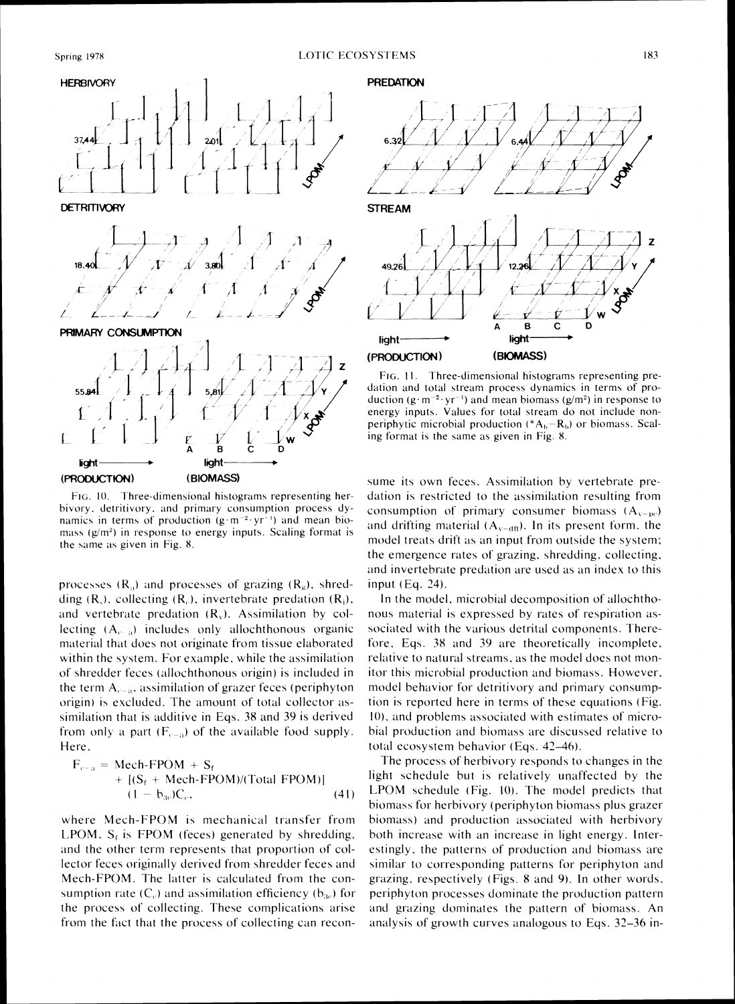

FIG. 10. Three-dimensional histograms representing herbivory, detritivory, and primary consumption process dynamics in terms of production  $(g \cdot m^{-2} \cdot yr^{-1})$  and mean biomass  $(g/m<sup>2</sup>)$  in response to energy inputs. Scaling format is the same as given in Fig. 8.

processes  $(R_n)$  and processes of grazing  $(R_n)$ , shredding  $(R_s)$ , collecting  $(R_c)$ , invertebrate predation  $(R_i)$ , and vertebrate predation  $(R_v)$ . Assimilation by collecting  $(A_{\epsilon=2})$  includes only allochthonous organic material that does not originate from tissue elaborated within the system. For example, while the assimilation of shredder feces (allochthonous origin) is included in the term  $A_{c-a}$ , assimilation of grazer feces (periphyton origin) is excluded. The amount of total collector assimilation that is additive in Eqs. 38 and 39 is derived from only a part  $(F_{c-a})$  of the available food supply. Here.

$$
F_{c-a} = \text{Mech-FPOM} + S_f
$$
  
+ [(S\_f + \text{Mech-FPOM})/(Total FPOM)]  
(1 - b<sub>3c</sub>)C<sub>c</sub>, (41)

where Mech-FPOM is mechanical transfer from LPOM,  $S_f$  is FPOM (feces) generated by shredding, and the other term represents that proportion of collector feces originally derived from shredder feces and Mech-FPOM. The latter is calculated from the consumption rate  $(C_c)$  and assimilation efficiency  $(b_{3c})$  for the process of collecting. These complications arise from the fact that the process of collecting can recon-

#### **PREDATION**



FIG. 11. Three-dimensional histograms representing predation and total stream process dynamics in terms of production  $(g \cdot m^{-2} \cdot yr^{-1})$  and mean biomass  $(g/m^2)$  in response to energy inputs. Values for total stream do not include nonperiphytic microbial production ( $+A_b - R_b$ ) or biomass. Scaling format is the same as given in Fig. 8.

sume its own feces. Assimilation by vertebrate predation is restricted to the assimilation resulting from consumption of primary consumer biomass  $(A_{v-ne})$ and drifting material  $(A_{x-dn})$ . In its present form, the model treats drift as an input from outside the system; the emergence rates of grazing, shredding, collecting, and invertebrate predation are used as an index to this input  $(Eq. 24)$ .

In the model, microbial decomposition of allochthonous material is expressed by rates of respiration associated with the various detrital components. Therefore, Eqs. 38 and 39 are theoretically incomplete, relative to natural streams, as the model does not monitor this microbial production and biomass. However, model behavior for detritivory and primary consumption is reported here in terms of these equations (Fig. 10), and problems associated with estimates of microbial production and biomass are discussed relative to total ecosystem behavior (Eqs. 42-46).

The process of herbivory responds to changes in the light schedule but is relatively unaffected by the LPOM schedule (Fig. 10). The model predicts that biomass for herbivory (periphyton biomass plus grazer biomass) and production associated with herbivory both increase with an increase in light energy. Interestingly, the patterns of production and biomass are similar to corresponding patterns for periphyton and grazing, respectively (Figs. 8 and 9). In other words, periphyton processes dominate the production pattern and grazing dominates the pattern of biomass. An analysis of growth curves analogous to Eqs. 32–36 in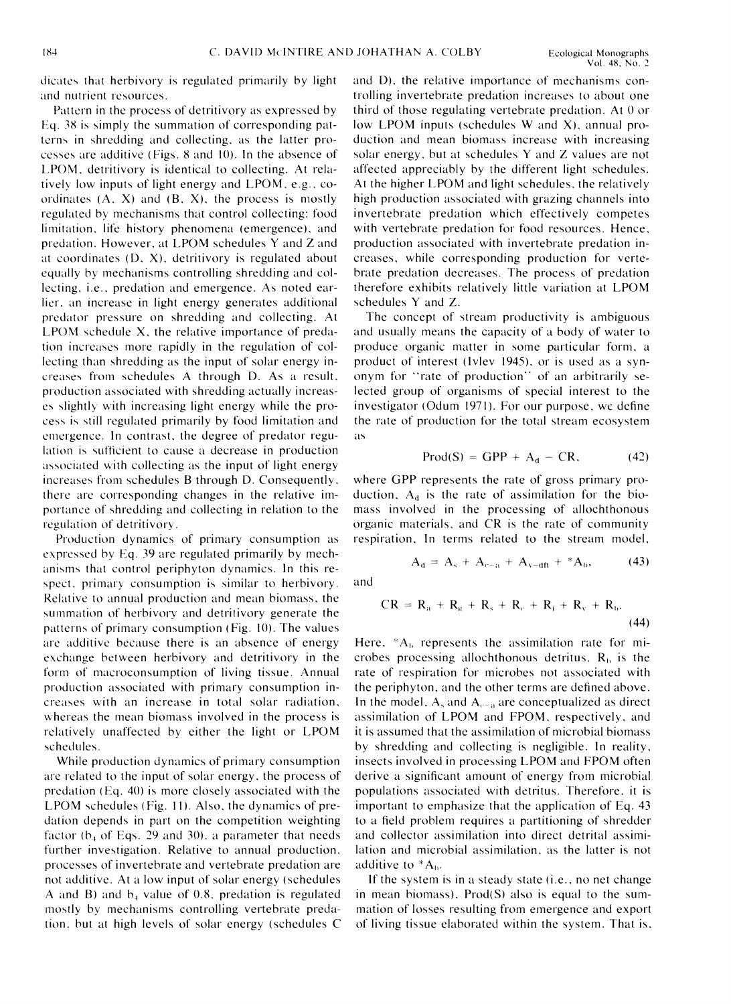dicates that herbivory is regulated primarily by light and nutrient resources.

Pattern in the process of detritivory as expressed by Eq. 38 is simply the summation of corresponding patterns in shredding and collecting, as the latter processes are additive (Figs. 8 and 10). In the absence of LPOM, detritivory is identical to collecting. At relatively low inputs of light energy and LPOM, e.g., coordinates  $(A, X)$  and  $(B, X)$ , the process is mostly regulated by mechanisms that control collecting: food limitation, life history phenomena (emergence), and predation. However, at LPOM schedules Y and Z and at coordinates (D, X), detritivory is regulated about equally by mechanisms controlling shredding and collecting, *i.e.*, predation and emergence. As noted earlier, an increase in light energy generates additional predator pressure on shredding and collecting. At  $L$ POM schedule  $X$ , the relative importance of predation increases more rapidly in the regulation of collecting than shredding as the input of solar energy increases from schedules A through D. As a result, production associated with shredding actually increases slightly with increasing light energy while the process is still regulated primarily by food limitation and emergence. In contrast, the degree of predator regulation is sufficient to cause a decrease in production associated with collecting as the input of light energy increases from schedules B through D. Consequently, there are corresponding changes in the relative importance of shredding and collecting in relation to the regulation of detritivory.

Production dynamics of primary consumption as expressed by Eq. 39 are regulated primarily by mechanisms that control periphyton dynamics. In this respect, primary consumption is similar to herbivory. Relative to annual production and mean biomass, the summation of herbivory and detritivory generate the patterns of primary consumption (Fig. 10). The values are additive because there is an absence of energy exchange between herbivory and detritivory in the form of macroconsumption of living tissue. Annual production associated with primary consumption increases with an increase in total solar radiation, whereas the mean biomass involved in the process is relatively unaffected by either the light or LPOM schedules.

While production dynamics of primary consumption are related to the input of solar energy, the process of predation (Eq. 40) is more closely associated with the LPOM schedules (Fig. 11). Also, the dynamics of predation depends in part on the competition weighting factor  $(b_4$  of Eqs. 29 and 30), a parameter that needs further investigation. Relative to annual production, processes of invertebrate and vertebrate predation are not additive. At a low input of solar energy (schedules A and B) and  $b_4$  value of 0.8, predation is regulated mostly by mechanisms controlling vertebrate predation, but at high levels of solar energy (schedules C

and D), the relative importance of mechanisms controlling invertebrate predation increases to about one third of those regulating vertebrate predation. At 0 or low LPOM inputs (schedules W and X), annual production and mean biomass increase with increasing solar energy, but at schedules Y and Z values are not affected appreciably by the different light schedules. At the higher LPOM and light schedules, the relatively high production associated with grazing channels into invertebrate predation which effectively competes with vertebrate predation for food resources. Hence, production associated with invertebrate predation increases, while corresponding production for vertebrate predation decreases. The process of predation therefore exhibits relatively little variation at LPOM schedules Y and Z.

The concept of stream productivity is ambiguous and usually means the capacity of a body of water to produce organic matter in some particular form, a product of interest (Ivley 1945), or is used as a synonym for "rate of production" of an arbitrarily selected group of organisms of special interest to the investigator (Odum 1971). For our purpose, we define the rate of production for the total stream ecosystem as

$$
Prod(S) = GPP + A_d - CR, \qquad (42)
$$

where GPP represents the rate of gross primary production,  $A_d$  is the rate of assimilation for the biomass involved in the processing of allochthonous organic materials, and CR is the rate of community respiration. In terms related to the stream model,

$$
A_{d} = A_{s} + A_{c-a} + A_{v-dft} + {}^{*}A_{b}, \qquad (43)
$$

and

$$
CR = R_a + R_{\kappa} + R_{\rm s} + R_{\rm c} + R_{\rm i} + R_{\rm v} + R_{\rm b}.
$$
\n(44)

Here,  $*A_b$  represents the assimilation rate for microbes processing allochthonous detritus,  $R<sub>b</sub>$  is the rate of respiration for microbes not associated with the periphyton, and the other terms are defined above. In the model,  $A_s$  and  $A_{c-a}$  are conceptualized as direct assimilation of LPOM and FPOM, respectively, and it is assumed that the assimilation of microbial biomass by shredding and collecting is negligible. In reality, insects involved in processing LPOM and FPOM often derive a significant amount of energy from microbial populations associated with detritus. Therefore, it is important to emphasize that the application of Eq. 43 to a field problem requires a partitioning of shredder and collector assimilation into direct detrital assimilation and microbial assimilation, as the latter is not additive to \*A<sub>b</sub>.

If the system is in a steady state (*i.e.*, no net change in mean biomass),  $Prod(S)$  also is equal to the summation of losses resulting from emergence and export of living tissue elaborated within the system. That is,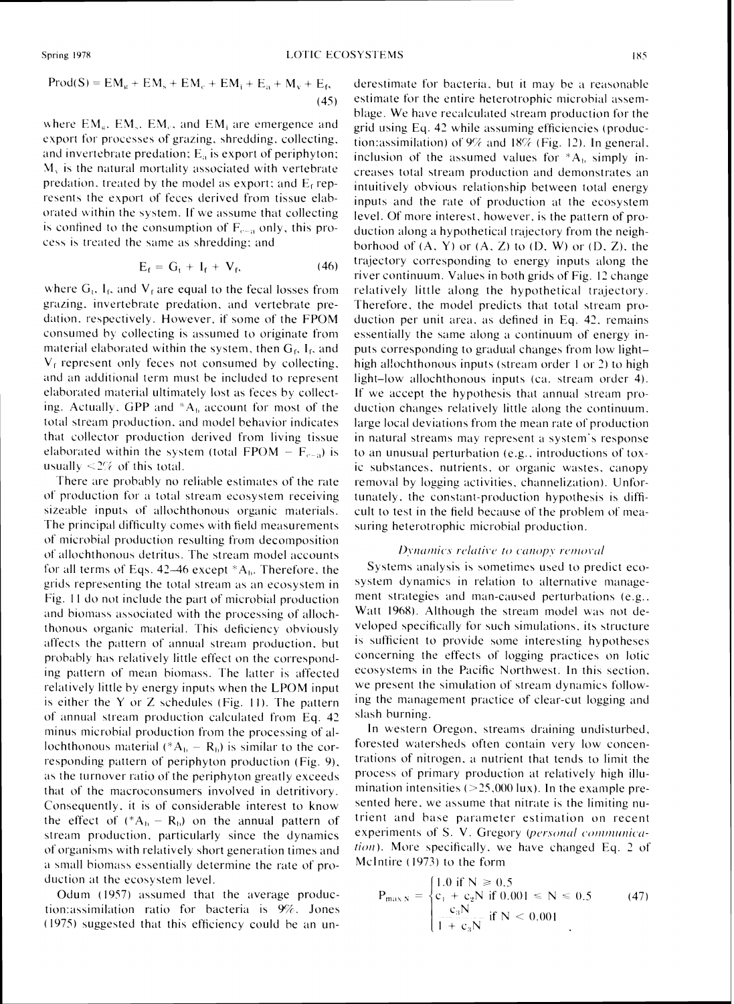$$
Prod(S) = EMg + EMs + EMc + EMi + Ea + Mv + Ef,
$$
\n(45)

where  $EM_{g}$ ,  $EM_{s}$ ,  $EM_{c}$ , and  $EM_{i}$  are emergence and export for processes of grazing, shredding, collecting, and invertebrate predation;  $E_a$  is export of periphyton;  $M<sub>x</sub>$  is the natural mortality associated with vertebrate predation, treated by the model as export; and  $E_f$  represents the export of feces derived from tissue elaborated within the system. If we assume that collecting is confined to the consumption of  $F_{c-a}$  only, this process is treated the same as shredding; and

$$
E_f = G_t + I_f + V_f, \qquad (46)
$$

where  $G_i$ ,  $I_f$ , and  $V_f$  are equal to the fecal losses from grazing, invertebrate predation, and vertebrate predation, respectively. However, if some of the FPOM consumed by collecting is assumed to originate from material elaborated within the system, then  $G_f$ ,  $I_f$ , and  $V_f$  represent only feces not consumed by collecting, and an additional term must be included to represent elaborated material ultimately lost as feces by collecting. Actually, GPP and \*A<sub>b</sub> account for most of the total stream production, and model behavior indicates that collector production derived from living tissue elaborated within the system (total FPOM –  $F_{c-a}$ ) is usually  $\leq 2\%$  of this total.

There are probably no reliable estimates of the rate of production for a total stream ecosystem receiving sizeable inputs of allochthonous organic materials. The principal difficulty comes with field measurements of microbial production resulting from decomposition of allochthonous detritus. The stream model accounts for all terms of Eqs. 42–46 except  $A_b$ . Therefore, the grids representing the total stream as an ecosystem in Fig. 11 do not include the part of microbial production and biomass associated with the processing of allochthonous organic material. This deficiency obviously affects the pattern of annual stream production, but probably has relatively little effect on the corresponding pattern of mean biomass. The latter is affected relatively little by energy inputs when the LPOM input is either the Y or Z schedules (Fig. 11). The pattern of annual stream production calculated from Eq. 42 minus microbial production from the processing of allochthonous material ( $^*A_b - R_b$ ) is similar to the corresponding pattern of periphyton production (Fig. 9), as the turnover ratio of the periphyton greatly exceeds that of the macroconsumers involved in detritivory. Consequently, it is of considerable interest to know the effect of  $(^*A_b - R_b)$  on the annual pattern of stream production, particularly since the dynamics of organisms with relatively short generation times and a small biomass essentially determine the rate of production at the ecosystem level.

Odum (1957) assumed that the average production:assimilation ratio for bacteria is 9%. Jones (1975) suggested that this efficiency could be an underestimate for bacteria, but it may be a reasonable estimate for the entire heterotrophic microbial assemblage. We have recalculated stream production for the grid using Eq. 42 while assuming efficiencies (production: assimilation) of  $9\%$  and  $18\%$  (Fig. 12). In general, inclusion of the assumed values for  $*A_b$  simply increases total stream production and demonstrates an intuitively obvious relationship between total energy inputs and the rate of production at the ecosystem level. Of more interest, however, is the pattern of production along a hypothetical trajectory from the neighborhood of  $(A, Y)$  or  $(A, Z)$  to  $(D, W)$  or  $(D, Z)$ , the trajectory corresponding to energy inputs along the river continuum. Values in both grids of Fig. 12 change relatively little along the hypothetical trajectory. Therefore, the model predicts that total stream production per unit area, as defined in Eq. 42, remains essentially the same along a continuum of energy inputs corresponding to gradual changes from low lighthigh allochthonous inputs (stream order 1 or 2) to high light-low allochthonous inputs (ca. stream order 4). If we accept the hypothesis that annual stream production changes relatively little along the continuum. large local deviations from the mean rate of production in natural streams may represent a system's response to an unusual perturbation (e.g., introductions of toxic substances, nutrients, or organic wastes, canopy removal by logging activities, channelization). Unfortunately, the constant-production hypothesis is difficult to test in the field because of the problem of measuring heterotrophic microbial production.

## Dynamics relative to canopy removal

Systems analysis is sometimes used to predict ecosystem dynamics in relation to alternative management strategies and man-caused perturbations (e.g., Watt 1968). Although the stream model was not developed specifically for such simulations, its structure is sufficient to provide some interesting hypotheses concerning the effects of logging practices on lotic ecosystems in the Pacific Northwest. In this section, we present the simulation of stream dynamics following the management practice of clear-cut logging and slash burning.

In western Oregon, streams draining undisturbed, forested watersheds often contain very low concentrations of nitrogen, a nutrient that tends to limit the process of primary production at relatively high illumination intensities  $(>25,000 \text{ lux})$ . In the example presented here, we assume that nitrate is the limiting nutrient and base parameter estimation on recent experiments of S. V. Gregory (personal communication). More specifically, we have changed Eq. 2 of McIntire (1973) to the form

$$
P_{\max N} = \begin{cases} 1.0 \text{ if } N \ge 0.5 \\ c_1 + c_2 N \text{ if } 0.001 \le N \le 0.5 \\ \frac{c_3 N}{1 + c_3 N} \text{ if } N < 0.001 \end{cases} \tag{47}
$$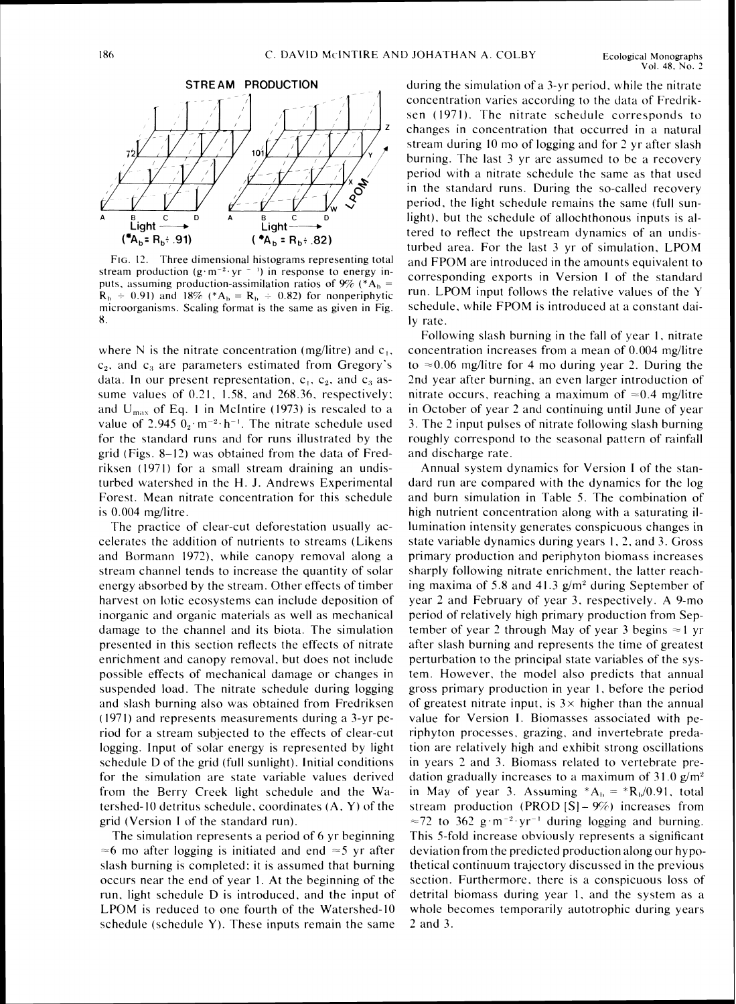

FIG. 12. Three dimensional histograms representing total stream production (g·m<sup>-2</sup>·yr<sup>-1</sup>) in response to energy inputs, assuming production-assimilation ratios of  $9\%$  (\*A<sub>b</sub> =  $R<sub>b</sub> \div 0.91$  and 18% (\*A<sub>b</sub> =  $R<sub>b</sub> \div 0.82$ ) for nonperiphytic microorganisms. Scaling format is the same as given in Fig. 8.

where N is the nitrate concentration (mg/litre) and  $c_1$ ,  $c<sub>2</sub>$ , and  $c<sub>3</sub>$  are parameters estimated from Gregory's data. In our present representation,  $c_1$ ,  $c_2$ , and  $c_3$  assume values of  $0.21$ , 1.58, and 268.36, respectively; and  $U_{\text{max}}$  of Eq. 1 in McIntire (1973) is rescaled to a value of 2.945  $0_2 \cdot m^{-2} \cdot h^{-1}$ . The nitrate schedule used for the standard runs and for runs illustrated by the grid (Figs. 8-12) was obtained from the data of Fredriksen (1971) for a small stream draining an undisturbed watershed in the H. J. Andrews Experimental Forest. Mean nitrate concentration for this schedule is  $0.004$  mg/litre.

The practice of clear-cut deforestation usually accelerates the addition of nutrients to streams (Likens and Bormann 1972). while canopy removal along a stream channel tends to increase the quantity of solar energy absorbed by the stream. Other effects of timber harvest on lotic ecosystems can include deposition of inorganic and organic materials as well as mechanical damage to the channel and its biota. The simulation presented in this section reflects the effects of nitrate enrichment and canopy removal. but does not include possible effects of mechanical damage or changes in suspended load. The nitrate schedule during logging and slash burning also was obtained from Fredriksen (1971) and represents measurements during a 3-yr period for a stream subjected to the effects of clear-cut logging. Input of solar energy is represented by light schedule D of the grid (full sunlight). Initial conditions for the simulation are state variable values derived frorn the Berry Creek light schedule and the Watershed-I0 detritus schedule. coordinates (A. Y) of the grid (Version I of the standard run).

The simulation represents a period of 6 yr beginning  $\approx$ 6 mo after logging is initiated and end  $\approx$ 5 yr after slash burning is completed; it is assumed that burning occurs near the end of year I. At the beginning of the run, light schedule D is introduced. and the input of LPOM is reduced to one fourth of the Watershed-I0 schedule (schedule Y). These inputs remain the same

during the simulation of a 3-yr period, while the nitrate concentration varies according to the data of Fredriksen (1971). The nitrate schedule corresponds to changes in concentration that occurred in a natural stream during 10 mo of logging and for 2 yr after slash burning. The last 3 yr are assumed to be a recovery period with a nitrate schedule the same as that used in the standard runs. During the so-called recovery. period. the light schedule remains the same (full sunlight). but the schedule of allochthonous inputs is altered to reflect the upstream dynamics of an undisturbed area. For the last 3 yr of simulation, LPOM and FPOM are introduced in the amounts equivalent to corresponding exports in Version I of the standard run. LPOM input follows the relative values of the  $\Upsilon$ schedule. while FPOM is introduced at a constant daily rate.

Following slash burning in the fall of year 1, nitrate concentration increases from a mean of  $0.004$  mg/litre to  $\approx 0.06$  mg/litre for 4 mo during year 2. During the 2nd year after burning. an even larger introduction of nitrate occurs, reaching a maximum of  $\approx 0.4$  mg/litre in October of year 2 and continuing until June of year 3. The 2 input pulses of nitrate following slash burning roughly correspond to the seasonal pattern of rainfall and discharge rate.

Annual system dynamics for Version I of the standard run are compared with the dynamics for the log and burn simulation in Table 5. The combination of high nutrient concentration along with a saturating illumination intensity generates conspicuous changes in state variable dynamics during years 1, 2, and 3. Gross primary production and periphyton biomass increases sharply following nitrate enrichment, the latter reaching maxima of 5.8 and 41.3  $g/m^2$  during September of year 2 and February of year 3. respectively. A 9-mo period of relatively high primary production from September of year 2 through May of year 3 begins  $\approx$  1 yr after slash burning and represents the time of greatest perturbation to the principal state variables of the system. However. the model also predicts that annual gross primary production in year 1. before the period of greatest nitrate input, is  $3 \times$  higher than the annual value for Version I. Biomasses associated with periphyton processes. grazing. and invertebrate predation are relatively high and exhibit strong oscillations in years 2 and 3. Biomass related to vertebrate predation gradually increases to a maximum of  $31.0 \text{ g/m}^2$ in May of year 3. Assuming  $^*A_b = ^*R_b/0.91$ , total stream production (PROD  $[S] - 9\%$ ) increases from  $\approx$ 72 to 362 g·m<sup>-2</sup>·yr<sup>-1</sup> during logging and burning. This 5-fold increase obviously represents a significant deviation from the predicted production along our hypothetical continuum trajectory discussed in the previous section. Furthermore. there is a conspicuous loss of detrital biomass during year 1. and the system as a whole becomes temporarily autotrophic during years *2* and 3.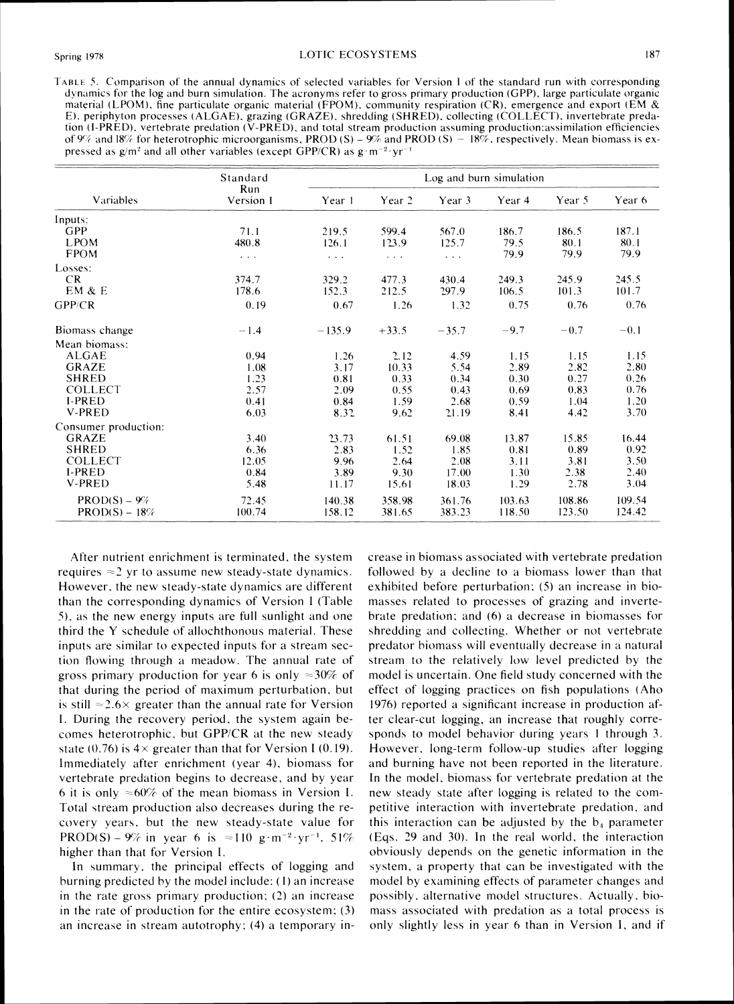TABLE 5. Comparison of the annual dynamics of selected variables for Version I of the standard run with corresponding dynamics for the log and burn simulation. The acronyms refer to gross primary production (GPP), large particulate organic material (LPOM), fine particulate organic material (FPOM), community respiration (CR), emergence and export (EM & E), periphyton processes (ALGAE), grazing (GRAZE), shredding (SHRED), collecting (COLLECT), invertebrate predation  $(I-PRED)$ , vertebrate predation  $(V-PRED)$ , and total stream production assuming production assimilation efficiencies of 9% and 18% for heterotrophic microorganisms, PROD (S) – 9% and PROD (S) – 18%, respectively. Mean biomass is expressed as  $g/m^2$  and all other variables (except GPP/CR) as  $g \cdot m^{-2} \cdot yr^{-1}$ 

| Variables            | Standard             | Log and burn simulation |          |                      |        |        |        |
|----------------------|----------------------|-------------------------|----------|----------------------|--------|--------|--------|
|                      | Run<br>Version 1     | Year 1                  | Year 2   | Year 3               | Year 4 | Year 5 | Year 6 |
| Inputs:              |                      |                         |          |                      |        |        |        |
| GPP                  | 71.1                 | 219.5                   | 599.4    | 567.0                | 186.7  | 186.5  | 187.1  |
| <b>LPOM</b>          | 480.8                | 126.1                   | 123.9    | 125.7                | 79.5   | 80.1   | 80.1   |
| <b>FPOM</b>          | $\sim$ $\sim$ $\sim$ | $\sim$ $\sim$           | $\cdots$ | $\sim$ $\sim$ $\sim$ | 79.9   | 79.9   | 79.9   |
| Losses:              |                      |                         |          |                      |        |        |        |
| CR.                  | 374.7                | 329.2                   | 477.3    | 430.4                | 249.3  | 245.9  | 245.5  |
| EM & E               | 178.6                | 152.3                   | 212.5    | 297.9                | 106.5  | 101.3  | 101.7  |
| GPP/CR               | 0.19                 | 0.67                    | 1.26     | 1.32                 | 0.75   | 0.76   | 0.76   |
| Biomass change       | $-1.4$               | $-135.9$                | $+33.5$  | $-35.7$              | $-9.7$ | $-0.7$ | $-0.1$ |
| Mean biomass:        |                      |                         |          |                      |        |        |        |
| ALGAE                | 0.94                 | 1.26                    | 2.12     | 4.59                 | 1.15   | 1.15   | 1.15   |
| <b>GRAZE</b>         | 1.08                 | 3.17                    | 10.33    | 5.54                 | 2.89   | 2.82   | 2.80   |
| <b>SHRED</b>         | 1.23                 | 0.81                    | 0.33     | 0.34                 | 0.30   | 0.27   | 0.26   |
| <b>COLLECT</b>       | 2.57                 | 2.09                    | 0.55     | 0.43                 | 0.69   | 0.83   | 0.76   |
| <b>I-PRED</b>        | 0.41                 | 0.84                    | 1.59     | 2.68                 | 0.59   | 1.04   | 1.20   |
| <b>V-PRED</b>        | 6.03                 | 8.32                    | 9.62     | 21.19                | 8.41   | 4.42   | 3.70   |
| Consumer production: |                      |                         |          |                      |        |        |        |
| <b>GRAZE</b>         | 3.40                 | 23.73                   | 61.51    | 69.08                | 13.87  | 15.85  | 16.44  |
| <b>SHRED</b>         | 6.36                 | 2.83                    | 1.52     | 1.85                 | 0.81   | 0.89   | 0.92   |
| <b>COLLECT</b>       | 12.05                | 9.96                    | 2.64     | 2.08                 | 3.11   | 3.81   | 3.50   |
| <b>I-PRED</b>        | 0.84                 | 3.89                    | 9.30     | 17.00                | 1.30   | 2.38   | 2.40   |
| <b>V-PRED</b>        | 5.48                 | 11.17                   | 15.61    | 18.03                | 1.29   | 2.78   | 3.04   |
| $PROD(S) - 9\%$      | 72.45                | 140.38                  | 358.98   | 361.76               | 103.63 | 108.86 | 109.54 |
| $PROD(S) - 18\%$     | 100.74               | 158.12                  | 381.65   | 383.23               | 118.50 | 123.50 | 124.42 |

After nutrient enrichment is terminated, the system requires  $\approx$  2 yr to assume new steady-state dynamics. However, the new steady-state dynamics are different than the corresponding dynamics of Version I (Table 5), as the new energy inputs are full sunlight and one third the Y schedule of allochthonous material. These inputs are similar to expected inputs for a stream section flowing through a meadow. The annual rate of gross primary production for year 6 is only  $\approx 30\%$  of that during the period of maximum perturbation, but is still  $\approx$  2.6  $\times$  greater than the annual rate for Version I. During the recovery period, the system again becomes heterotrophic, but GPP/CR at the new steady state (0.76) is  $4 \times$  greater than that for Version I (0.19). Immediately after enrichment (year 4), biomass for vertebrate predation begins to decrease, and by year 6 it is only  $\approx 60\%$  of the mean biomass in Version I. Total stream production also decreases during the recovery years, but the new steady-state value for PROD(S) – 9% in year 6 is  $\approx$ 110 g·m<sup>-2</sup>·yr<sup>-1</sup>, 51% higher than that for Version I.

In summary, the principal effects of logging and burning predicted by the model include: (1) an increase in the rate gross primary production; (2) an increase in the rate of production for the entire ecosystem;  $(3)$ an increase in stream autotrophy; (4) a temporary increase in biomass associated with vertebrate predation followed by a decline to a biomass lower than that exhibited before perturbation; (5) an increase in biomasses related to processes of grazing and invertebrate predation; and (6) a decrease in biomasses for shredding and collecting. Whether or not vertebrate predator biomass will eventually decrease in a natural stream to the relatively low level predicted by the model is uncertain. One field study concerned with the effect of logging practices on fish populations (Aho 1976) reported a significant increase in production after clear-cut logging, an increase that roughly corresponds to model behavior during years 1 through 3. However, long-term follow-up studies after logging and burning have not been reported in the literature. In the model, biomass for vertebrate predation at the new steady state after logging is related to the competitive interaction with invertebrate predation, and this interaction can be adjusted by the  $b_4$  parameter (Eqs. 29 and 30). In the real world, the interaction obviously depends on the genetic information in the system, a property that can be investigated with the model by examining effects of parameter changes and possibly, alternative model structures. Actually, biomass associated with predation as a total process is only slightly less in year 6 than in Version I, and if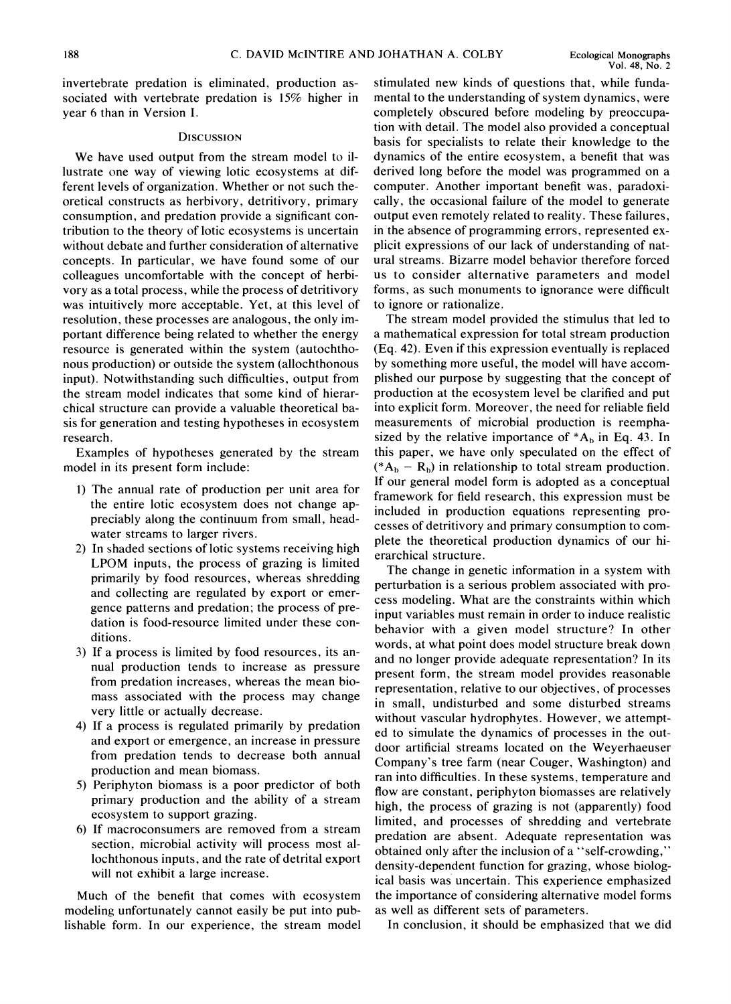invertebrate predation is eliminated, production associated with vertebrate predation is 15% higher in year 6 than in Version I.

#### **DISCUSSION**

We have used output from the stream model to illustrate one way of viewing lotic ecosystems at different levels of organization. Whether or not such theoretical constructs as herbivory, detritivory, primary consumption, and predation provide a significant contribution to the theory of lotic ecosystems is uncertain without debate and further consideration of alternative concepts. In particular, we have found some of our colleagues uncomfortable with the concept of herbivory as a total process, while the process of detritivory was intuitively more acceptable. Yet, at this level of resolution, these processes are analogous, the only important difference being related to whether the energy resource is generated within the system (autochthonous production) or outside the system (allochthonous input). Notwithstanding such difficulties, output from the stream model indicates that some kind of hierarchical structure can provide a valuable theoretical basis for generation and testing hypotheses in ecosystem research.

Examples of hypotheses generated by the stream model in its present form include:

- I) The annual rate of production per unit area for the entire lotic ecosystem does not change appreciably along the continuum from small, headwater streams to larger rivers.
- 2) In shaded sections of lotic systems receiving high LPOM inputs, the process of grazing is limited primarily by food resources, whereas shredding and collecting are regulated by export or emergence patterns and predation; the process of predation is food-resource limited under these conditions.
- 3) If a process is limited by food resources, its annual production tends to increase as pressure from predation increases, whereas the mean biomass associated with the process may change very little or actually decrease.
- 4) If a process is regulated primarily by predation and export or emergence, an increase in pressure from predation tends to decrease both annual production and mean biomass.
- 5) Periphyton biomass is a poor predictor of both primary production and the ability of a stream ecosystem to support grazing.
- 6) If macroconsumers are removed from a stream section, microbial activity will process most allochthonous inputs, and the rate of detrital export will not exhibit a large increase.

Much of the benefit that comes with ecosystem modeling unfortunately cannot easily be put into publishable form. In our experience, the stream model stimulated new kinds of questions that, while fundamental to the understanding of system dynamics, were completely obscured before modeling by preoccupation with detail. The model also provided a conceptual basis for specialists to relate their knowledge to the dynamics of the entire ecosystem, a benefit that was derived long before the model was programmed on a computer. Another important benefit was, paradoxically, the occasional failure of the model to generate output even remotely related to reality. These failures, in the absence of programming errors, represented explicit expressions of our lack of understanding of natural streams. Bizarre model behavior therefore forced us to consider alternative parameters and model forms, as such monuments to ignorance were difficult to ignore or rationalize.

The stream model provided the stimulus that led to a mathematical expression for total stream production (Eq. 42). Even if this expression eventually is replaced by something more useful, the model will have accomplished our purpose by suggesting that the concept of production at the ecosystem level be clarified and put into explicit form. Moreover, the need for reliable field measurements of microbial production is reemphasized by the relative importance of  $^*A_b$  in Eq. 43. In this paper, we have only speculated on the effect of  $(*A<sub>b</sub> - R<sub>b</sub>)$  in relationship to total stream production. If our general model form is adopted as a conceptual framework for field research, this expression must be included in production equations representing processes of detritivory and primary consumption to complete the theoretical production dynamics of our hierarchical structure.

The change in genetic information in a system with perturbation is a serious problem associated with process modeling. What are the constraints within which input variables must remain in order to induce realistic behavior with a given model structure? In other words, at what point does model structure break down and no longer provide adequate representation? In its present form, the stream model provides reasonable representation, relative to our objectives, of processes in small, undisturbed and some disturbed streams without vascular hydrophytes. However, we attempted to simulate the dynamics of processes in the outdoor artificial streams located on the Weyerhaeuser Company's tree farm (near Couger, Washington) and ran into difficulties. In these systems, temperature and flow are constant, periphyton biomasses are relatively high, the process of grazing is not (apparently) food limited, and processes of shredding and vertebrate predation are absent. Adequate representation was obtained only after the inclusion of a "self-crowding," density-dependent function for grazing, whose biological basis was uncertain. This experience emphasized the importance of considering alternative model forms as well as different sets of parameters.

In conclusion, it should be emphasized that we did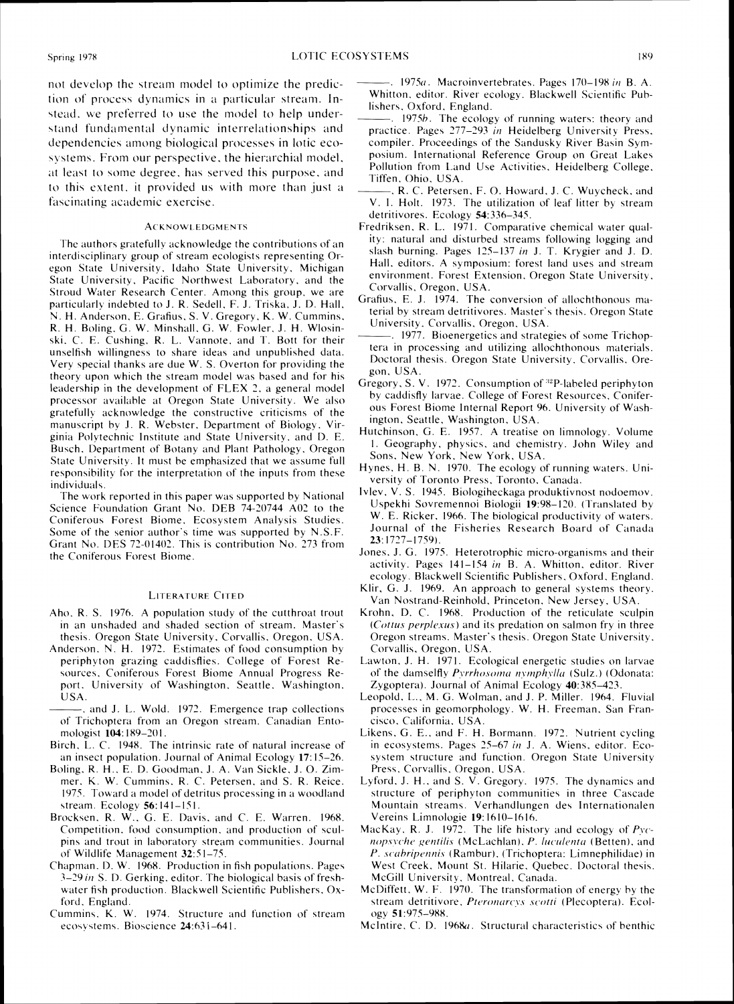not develop the stream model to optimize the prediction of process dynamics in a particular stream. Instead, we preferred to use the model to help understand fundamental dynamic interrelationships and dependencies among biological processes in lotic ecosystems. From our perspective, the hierarchial model, at least to some degree, has served this purpose, and to this extent, it provided us with more than just a fascinating academic exercise.

#### **ACKNOWLEDGMENTS**

The authors gratefully acknowledge the contributions of an interdisciplinary group of stream ecologists representing Oregon State University, Idaho State University, Michigan State University, Pacific Northwest Laboratory, and the Stroud Water Research Center. Among this group, we are particularly indebted to J. R. Sedell, F. J. Triska, J. D. Hall, N. H. Anderson, E. Grafius, S. V. Gregory, K. W. Cummins, R. H. Boling, G. W. Minshall, G. W. Fowler, J. H. Wlosinski, C. E. Cushing, R. L. Vannote, and T. Bott for their unselfish willingness to share ideas and unpublished data. Very special thanks are due W. S. Overton for providing the theory upon which the stream model was based and for his leadership in the development of FLEX 2, a general model processor available at Oregon State University. We also gratefully acknowledge the constructive criticisms of the manuscript by J. R. Webster, Department of Biology, Virginia Polytechnic Institute and State University, and D. E. Busch, Department of Botany and Plant Pathology, Oregon State University. It must be emphasized that we assume full responsibility for the interpretation of the inputs from these individuals

The work reported in this paper was supported by National Science Foundation Grant No. DEB 74-20744 A02 to the Coniferous Forest Biome, Ecosystem Analysis Studies. Some of the senior author's time was supported by N.S.F. Grant No. DES 72-01402. This is contribution No. 273 from the Coniferous Forest Biome.

#### **LITERATURE CITED**

- Aho, R. S. 1976. A population study of the cutthroat trout in an unshaded and shaded section of stream. Master's thesis. Oregon State University, Corvallis, Oregon, USA.
- Anderson, N. H. 1972. Estimates of food consumption by periphyton grazing caddisflies. College of Forest Resources, Coniferous Forest Biome Annual Progress Report. University of Washington. Seattle, Washington. **USA**

and J. L. Wold. 1972. Emergence trap collections of Trichoptera from an Oregon stream. Canadian Entomologist 104:189-201.

- Birch, L. C. 1948. The intrinsic rate of natural increase of an insect population. Journal of Animal Ecology 17:15–26.
- Boling, R. H., E. D. Goodman, J. A. Van Sickle, J. O. Zimmer, K. W. Cummins, R. C. Petersen, and S. R. Reice. 1975. Toward a model of detritus processing in a woodland stream. Ecology 56:141-151.
- Brocksen, R. W., G. E. Davis, and C. E. Warren. 1968. Competition, food consumption, and production of sculpins and trout in laboratory stream communities. Journal of Wildlife Management 32:51-75.
- Chapman, D. W. 1968. Production in fish populations. Pages 3-29 in S. D. Gerking, editor. The biological basis of freshwater fish production. Blackwell Scientific Publishers, Oxford. England.
- Cummins, K. W. 1974. Structure and function of stream ecosystems. Bioscience 24:631-641.

-.  $1975a$ . Macroinvertebrates. Pages  $170-198$  in B. A. Whitton, editor. River ecology. Blackwell Scientific Publishers, Oxford, England.

- 1975b. The ecology of running waters: theory and practice. Pages 277-293 in Heidelberg University Press, compiler. Proceedings of the Sandusky River Basin Symposium. International Reference Group on Great Lakes Pollution from Land Use Activities, Heidelberg College, Tiffen Ohio USA
- -, R. C. Petersen, F. O. Howard, J. C. Wuycheck, and V. I. Holt. 1973. The utilization of leaf litter by stream detritivores. Ecology 54:336-345.
- Fredriksen, R. L. 1971. Comparative chemical water quality: natural and disturbed streams following logging and slash burning. Pages 125–137 in J. T. Krygier and J. D. Hall, editors. A symposium: forest land uses and stream environment. Forest Extension, Oregon State University, Corvallis, Oregon, USA.
- Grafius, E. J. 1974. The conversion of allochthonous material by stream detritivores. Master's thesis. Oregon State University, Corvallis, Oregon, USA.
- . 1977. Bioenergetics and strategies of some Trichoptera in processing and utilizing allochthonous materials. Doctoral thesis. Oregon State University, Corvallis, Oregon. USA.
- Gregory, S. V. 1972. Consumption of <sup>32</sup>P-labeled periphyton by caddisfly larvae. College of Forest Resources, Coniferous Forest Biome Internal Report 96. University of Washington, Seattle, Washington, USA.
- Hutchinson, G. E. 1957. A treatise on limnology. Volume 1. Geography, physics, and chemistry. John Wiley and Sons, New York, New York, USA.
- Hynes, H. B. N. 1970. The ecology of running waters. University of Toronto Press, Toronto, Canada.
- Ivlev, V. S. 1945. Biologiheckaga produktivnost nodoemov. Uspekhi Sovremennoi Biologii 19:98-120. (Translated by W. E. Ricker, 1966. The biological productivity of waters. Journal of the Fisheries Research Board of Canada  $23:1727 - 1759$ .
- Jones, J. G. 1975. Heterotrophic micro-organisms and their activity. Pages 141-154 in B. A. Whitton, editor. River ecology. Blackwell Scientific Publishers, Oxford, England.
- Klir, G. J. 1969. An approach to general systems theory. Van Nostrand-Reinhold, Princeton, New Jersey, USA.
- Krohn, D. C. 1968. Production of the reticulate sculpin (Cottus perplexus) and its predation on salmon fry in three Oregon streams. Master's thesis. Oregon State University, Corvallis, Oregon, USA.
- Lawton, J. H. 1971. Ecological energetic studies on larvae of the damselfly *Pyrrhosoma nymphylla* (Sulz.) (Odonata: Zygoptera). Journal of Animal Ecology 40:385-423.
- Leopold, L., M. G. Wolman, and J. P. Miller. 1964. Fluvial processes in geomorphology. W. H. Freeman, San Francisco. California. USA.
- Likens, G. E., and F. H. Bormann. 1972. Nutrient cycling in ecosystems. Pages 25–67 in J. A. Wiens, editor. Ecosystem structure and function. Oregon State University Press, Corvallis, Oregon, USA.
- Lyford, J. H., and S. V. Gregory. 1975. The dynamics and structure of periphyton communities in three Cascade Mountain streams. Verhandlungen des Internationalen Vereins Limnologie 19:1610-1616.
- MacKay, R. J. 1972. The life history and ecology of Pycnopsyche gentilis (McLachlan), P. luculenta (Betten), and P. scabripennis (Rambur), (Trichoptera: Limnephilidae) in West Creek, Mount St. Hilarie, Quebec. Doctoral thesis. McGill University, Montreal, Canada.
- McDiffett, W. F. 1970. The transformation of energy by the stream detritivore, Pteronarcys scotti (Plecoptera). Ecology 51:975-988.
- McIntire, C. D. 1968a. Structural characteristics of benthic